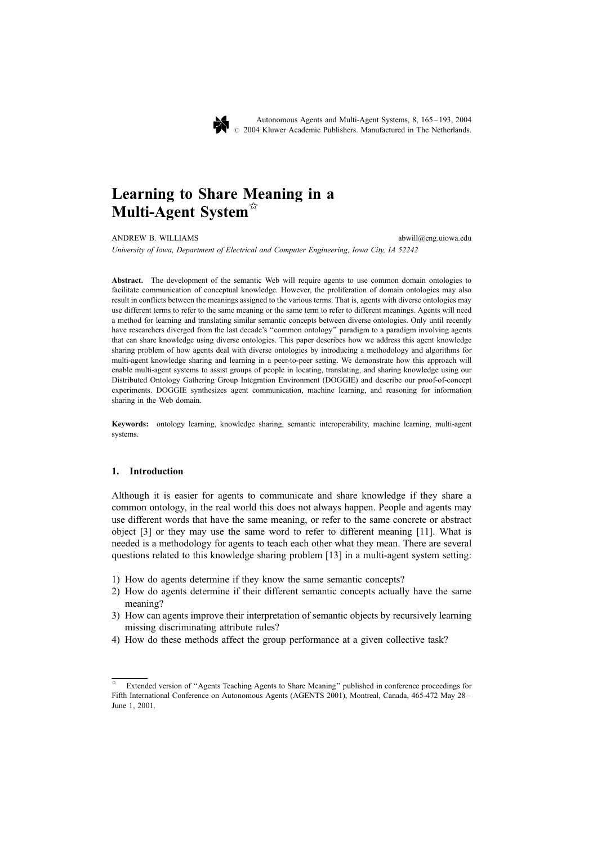Autonomous Agents and Multi-Agent Systems, 8, 165 – 193, 2004  $\circ$  2004 Kluwer Academic Publishers. Manufactured in The Netherlands.

# Learning to Share Meaning in a Multi-Agent System $\overrightarrow{ }$

ANDREW B. WILLIAMS abwill@eng.uiowa.edu

University of Iowa, Department of Electrical and Computer Engineering, Iowa City, IA 52242

Abstract. The development of the semantic Web will require agents to use common domain ontologies to facilitate communication of conceptual knowledge. However, the proliferation of domain ontologies may also result in conflicts between the meanings assigned to the various terms. That is, agents with diverse ontologies may use different terms to refer to the same meaning or the same term to refer to different meanings. Agents will need a method for learning and translating similar semantic concepts between diverse ontologies. Only until recently have researchers diverged from the last decade's ''common ontology'' paradigm to a paradigm involving agents that can share knowledge using diverse ontologies. This paper describes how we address this agent knowledge sharing problem of how agents deal with diverse ontologies by introducing a methodology and algorithms for multi-agent knowledge sharing and learning in a peer-to-peer setting. We demonstrate how this approach will enable multi-agent systems to assist groups of people in locating, translating, and sharing knowledge using our Distributed Ontology Gathering Group Integration Environment (DOGGIE) and describe our proof-of-concept experiments. DOGGIE synthesizes agent communication, machine learning, and reasoning for information sharing in the Web domain.

Keywords: ontology learning, knowledge sharing, semantic interoperability, machine learning, multi-agent systems.

## 1. Introduction

Although it is easier for agents to communicate and share knowledge if they share a common ontology, in the real world this does not always happen. People and agents may use different words that have the same meaning, or refer to the same concrete or abstract object [3] or they may use the same word to refer to different meaning [11]. What is needed is a methodology for agents to teach each other what they mean. There are several questions related to this knowledge sharing problem [13] in a multi-agent system setting:

- 1) How do agents determine if they know the same semantic concepts?
- 2) How do agents determine if their different semantic concepts actually have the same meaning?
- 3) How can agents improve their interpretation of semantic objects by recursively learning missing discriminating attribute rules?
- 4) How do these methods affect the group performance at a given collective task?

Extended version of "Agents Teaching Agents to Share Meaning" published in conference proceedings for Fifth International Conference on Autonomous Agents (AGENTS 2001), Montreal, Canada, 465-472 May 28 – June 1, 2001.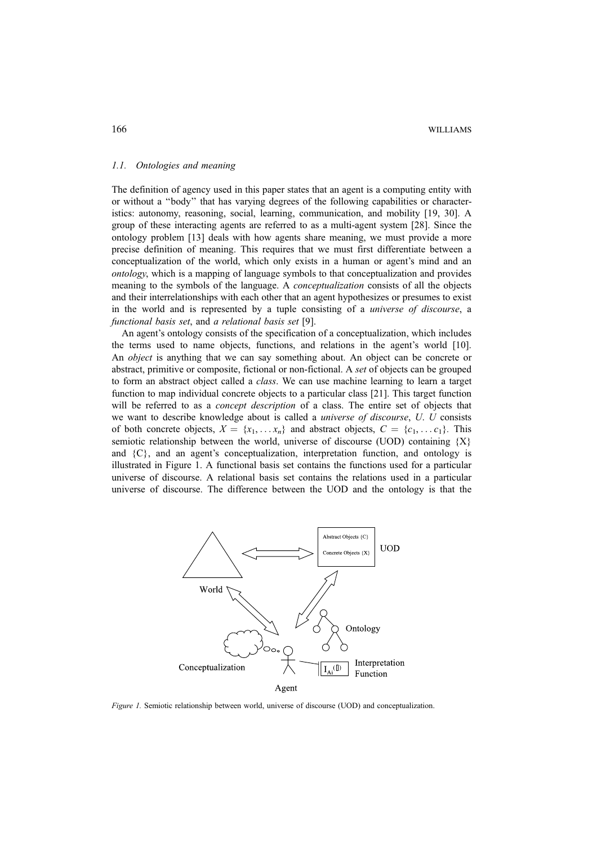#### 1.1. Ontologies and meaning

The definition of agency used in this paper states that an agent is a computing entity with or without a ''body'' that has varying degrees of the following capabilities or characteristics: autonomy, reasoning, social, learning, communication, and mobility [19, 30]. A group of these interacting agents are referred to as a multi-agent system [28]. Since the ontology problem [13] deals with how agents share meaning, we must provide a more precise definition of meaning. This requires that we must first differentiate between a conceptualization of the world, which only exists in a human or agent's mind and an ontology, which is a mapping of language symbols to that conceptualization and provides meaning to the symbols of the language. A conceptualization consists of all the objects and their interrelationships with each other that an agent hypothesizes or presumes to exist in the world and is represented by a tuple consisting of a universe of discourse, a functional basis set, and a relational basis set [9].

An agent's ontology consists of the specification of a conceptualization, which includes the terms used to name objects, functions, and relations in the agent's world [10]. An object is anything that we can say something about. An object can be concrete or abstract, primitive or composite, fictional or non-fictional. A set of objects can be grouped to form an abstract object called a *class*. We can use machine learning to learn a target function to map individual concrete objects to a particular class [21]. This target function will be referred to as a *concept description* of a class. The entire set of objects that we want to describe knowledge about is called a universe of discourse, U. U consists of both concrete objects,  $X = \{x_1, \ldots x_n\}$  and abstract objects,  $C = \{c_1, \ldots c_1\}$ . This semiotic relationship between the world, universe of discourse (UOD) containing  ${X}$ and  ${C}$ , and an agent's conceptualization, interpretation function, and ontology is illustrated in Figure 1. A functional basis set contains the functions used for a particular universe of discourse. A relational basis set contains the relations used in a particular universe of discourse. The difference between the UOD and the ontology is that the



Figure 1. Semiotic relationship between world, universe of discourse (UOD) and conceptualization.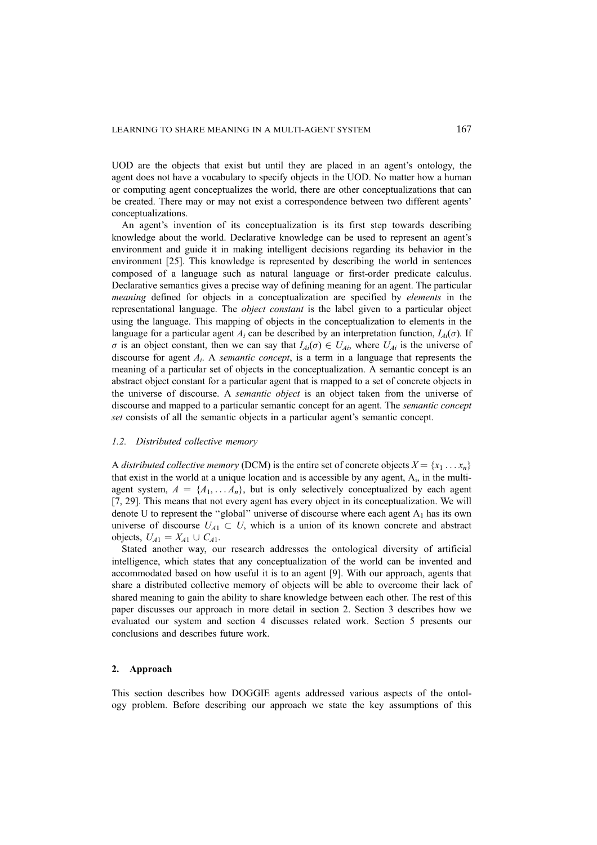UOD are the objects that exist but until they are placed in an agent's ontology, the agent does not have a vocabulary to specify objects in the UOD. No matter how a human or computing agent conceptualizes the world, there are other conceptualizations that can be created. There may or may not exist a correspondence between two different agents' conceptualizations.

An agent's invention of its conceptualization is its first step towards describing knowledge about the world. Declarative knowledge can be used to represent an agent's environment and guide it in making intelligent decisions regarding its behavior in the environment [25]. This knowledge is represented by describing the world in sentences composed of a language such as natural language or first-order predicate calculus. Declarative semantics gives a precise way of defining meaning for an agent. The particular meaning defined for objects in a conceptualization are specified by elements in the representational language. The object constant is the label given to a particular object using the language. This mapping of objects in the conceptualization to elements in the language for a particular agent  $A_i$  can be described by an interpretation function,  $I_{Ai}(\sigma)$ . If  $\sigma$  is an object constant, then we can say that  $I_{Ai}(\sigma) \in U_{Ai}$ , where  $U_{Ai}$  is the universe of discourse for agent  $A_i$ . A *semantic concept*, is a term in a language that represents the meaning of a particular set of objects in the conceptualization. A semantic concept is an abstract object constant for a particular agent that is mapped to a set of concrete objects in the universe of discourse. A *semantic object* is an object taken from the universe of discourse and mapped to a particular semantic concept for an agent. The semantic concept set consists of all the semantic objects in a particular agent's semantic concept.

#### 1.2. Distributed collective memory

A distributed collective memory (DCM) is the entire set of concrete objects  $X = \{x_1 \dots x_n\}$ that exist in the world at a unique location and is accessible by any agent,  $A_i$ , in the multiagent system,  $A = \{A_1, \ldots, A_n\}$ , but is only selectively conceptualized by each agent [7, 29]. This means that not every agent has every object in its conceptualization. We will denote U to represent the "global" universe of discourse where each agent  $A_1$  has its own universe of discourse  $U_{A1} \subset U$ , which is a union of its known concrete and abstract objects,  $U_{A1} = X_{A1} \cup C_{A1}$ .

Stated another way, our research addresses the ontological diversity of artificial intelligence, which states that any conceptualization of the world can be invented and accommodated based on how useful it is to an agent [9]. With our approach, agents that share a distributed collective memory of objects will be able to overcome their lack of shared meaning to gain the ability to share knowledge between each other. The rest of this paper discusses our approach in more detail in section 2. Section 3 describes how we evaluated our system and section 4 discusses related work. Section 5 presents our conclusions and describes future work.

## 2. Approach

This section describes how DOGGIE agents addressed various aspects of the ontology problem. Before describing our approach we state the key assumptions of this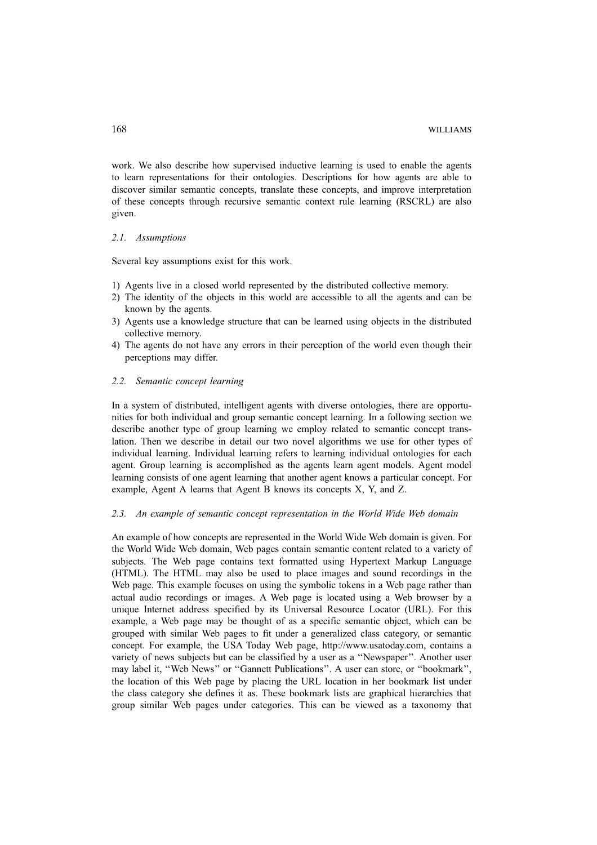work. We also describe how supervised inductive learning is used to enable the agents to learn representations for their ontologies. Descriptions for how agents are able to discover similar semantic concepts, translate these concepts, and improve interpretation of these concepts through recursive semantic context rule learning (RSCRL) are also given.

# 2.1. Assumptions

Several key assumptions exist for this work.

- 1) Agents live in a closed world represented by the distributed collective memory.
- 2) The identity of the objects in this world are accessible to all the agents and can be known by the agents.
- 3) Agents use a knowledge structure that can be learned using objects in the distributed collective memory.
- 4) The agents do not have any errors in their perception of the world even though their perceptions may differ.

# 2.2. Semantic concept learning

In a system of distributed, intelligent agents with diverse ontologies, there are opportunities for both individual and group semantic concept learning. In a following section we describe another type of group learning we employ related to semantic concept translation. Then we describe in detail our two novel algorithms we use for other types of individual learning. Individual learning refers to learning individual ontologies for each agent. Group learning is accomplished as the agents learn agent models. Agent model learning consists of one agent learning that another agent knows a particular concept. For example, Agent A learns that Agent B knows its concepts X, Y, and Z.

## 2.3. An example of semantic concept representation in the World Wide Web domain

An example of how concepts are represented in the World Wide Web domain is given. For the World Wide Web domain, Web pages contain semantic content related to a variety of subjects. The Web page contains text formatted using Hypertext Markup Language (HTML). The HTML may also be used to place images and sound recordings in the Web page. This example focuses on using the symbolic tokens in a Web page rather than actual audio recordings or images. A Web page is located using a Web browser by a unique Internet address specified by its Universal Resource Locator (URL). For this example, a Web page may be thought of as a specific semantic object, which can be grouped with similar Web pages to fit under a generalized class category, or semantic concept. For example, the USA Today Web page, http://www.usatoday.com, contains a variety of news subjects but can be classified by a user as a ''Newspaper''. Another user may label it, ''Web News'' or ''Gannett Publications''. A user can store, or ''bookmark'', the location of this Web page by placing the URL location in her bookmark list under the class category she defines it as. These bookmark lists are graphical hierarchies that group similar Web pages under categories. This can be viewed as a taxonomy that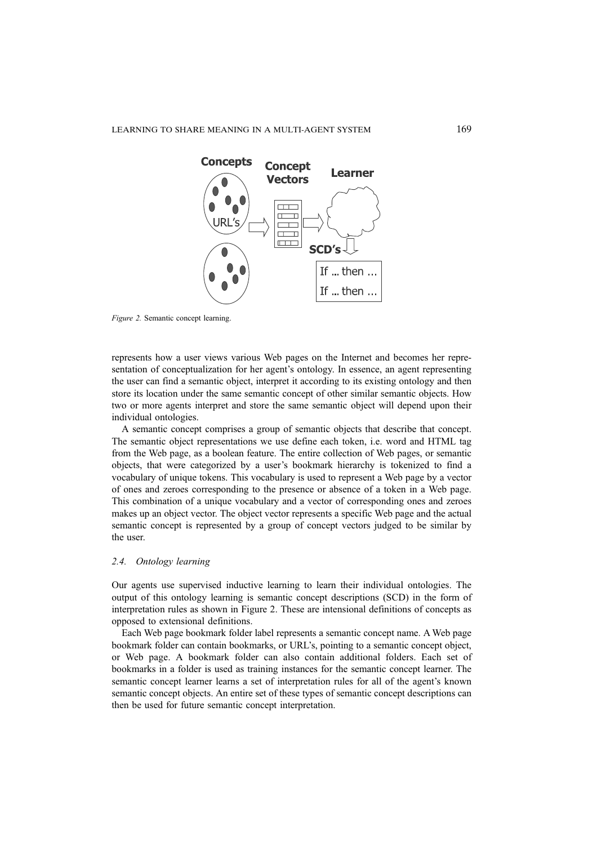

Figure 2. Semantic concept learning.

represents how a user views various Web pages on the Internet and becomes her representation of conceptualization for her agent's ontology. In essence, an agent representing the user can find a semantic object, interpret it according to its existing ontology and then store its location under the same semantic concept of other similar semantic objects. How two or more agents interpret and store the same semantic object will depend upon their individual ontologies.

A semantic concept comprises a group of semantic objects that describe that concept. The semantic object representations we use define each token, i.e. word and HTML tag from the Web page, as a boolean feature. The entire collection of Web pages, or semantic objects, that were categorized by a user's bookmark hierarchy is tokenized to find a vocabulary of unique tokens. This vocabulary is used to represent a Web page by a vector of ones and zeroes corresponding to the presence or absence of a token in a Web page. This combination of a unique vocabulary and a vector of corresponding ones and zeroes makes up an object vector. The object vector represents a specific Web page and the actual semantic concept is represented by a group of concept vectors judged to be similar by the user.

# 2.4. Ontology learning

Our agents use supervised inductive learning to learn their individual ontologies. The output of this ontology learning is semantic concept descriptions (SCD) in the form of interpretation rules as shown in Figure 2. These are intensional definitions of concepts as opposed to extensional definitions.

Each Web page bookmark folder label represents a semantic concept name. A Web page bookmark folder can contain bookmarks, or URL's, pointing to a semantic concept object, or Web page. A bookmark folder can also contain additional folders. Each set of bookmarks in a folder is used as training instances for the semantic concept learner. The semantic concept learner learns a set of interpretation rules for all of the agent's known semantic concept objects. An entire set of these types of semantic concept descriptions can then be used for future semantic concept interpretation.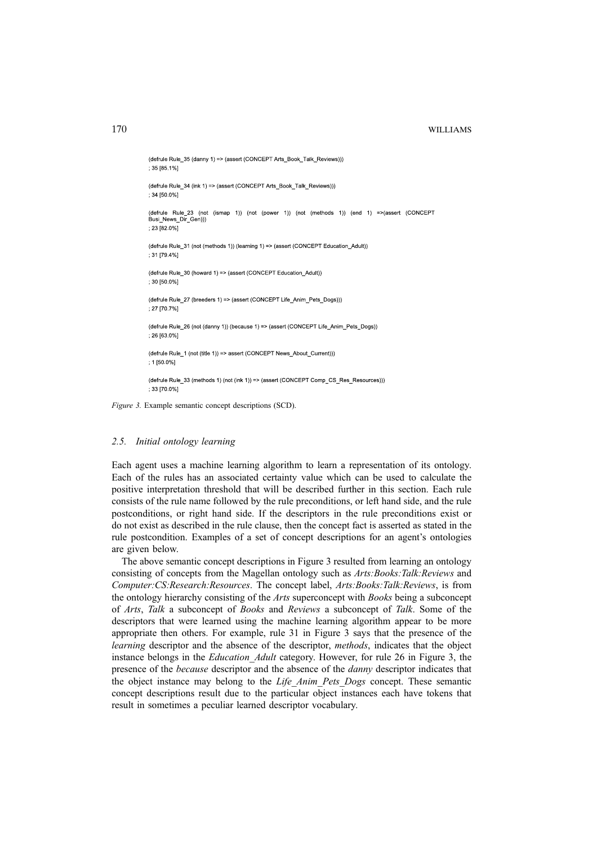170 WILLIAMS

```
(defrule Rule 35 (danny 1) => (assert (CONCEPT Arts Book Talk Reviews)))
: 35[85.1\%](defrule Rule 34 (ink 1) => (assert (CONCEPT Arts Book Talk Reviews)))
; 34 [50.0%]
(defrule Rule_23 (not (ismap 1)) (not (power 1)) (not (methods 1)) (end 1) =>(assert (CONCEPT
Busi_News_Dir_Gen)))
; 23 [82.0%]
(defrule Rule 31 (not (methods 1)) (learning 1) => (assert (CONCEPT Education Adult))
; 31 [79.4%]
(defrule Rule_30 (howard 1) => (assert (CONCEPT Education_Adult))
: 30 [50 0%]
(defrule Rule 27 (breeders 1) => (assert (CONCEPT Life Anim Pets Dogs)))
: 27 [70.7%]
(defrule Rule_26 (not (danny 1)) (because 1) => (assert (CONCEPT Life_Anim_Pets_Dogs))
: 26 [63.0%]
(defrule Rule 1 (not (title 1)) => assert (CONCEPT News, About, Current)))
: 1 [50.0%]
(defrule Rule 33 (methods 1) (not (ink 1)) => (assert (CONCEPT Comp CS Res Resources)))
: 33 [70.0%]
```
Figure 3. Example semantic concept descriptions (SCD).

#### 2.5. Initial ontology learning

Each agent uses a machine learning algorithm to learn a representation of its ontology. Each of the rules has an associated certainty value which can be used to calculate the positive interpretation threshold that will be described further in this section. Each rule consists of the rule name followed by the rule preconditions, or left hand side, and the rule postconditions, or right hand side. If the descriptors in the rule preconditions exist or do not exist as described in the rule clause, then the concept fact is asserted as stated in the rule postcondition. Examples of a set of concept descriptions for an agent's ontologies are given below.

The above semantic concept descriptions in Figure 3 resulted from learning an ontology consisting of concepts from the Magellan ontology such as Arts:Books:Talk:Reviews and Computer:CS:Research:Resources. The concept label, Arts:Books:Talk:Reviews, is from the ontology hierarchy consisting of the Arts superconcept with Books being a subconcept of Arts, Talk a subconcept of Books and Reviews a subconcept of Talk. Some of the descriptors that were learned using the machine learning algorithm appear to be more appropriate then others. For example, rule 31 in Figure 3 says that the presence of the *learning* descriptor and the absence of the descriptor, *methods*, indicates that the object instance belongs in the *Education Adult* category. However, for rule 26 in Figure 3, the presence of the because descriptor and the absence of the danny descriptor indicates that the object instance may belong to the Life Anim Pets Dogs concept. These semantic concept descriptions result due to the particular object instances each have tokens that result in sometimes a peculiar learned descriptor vocabulary.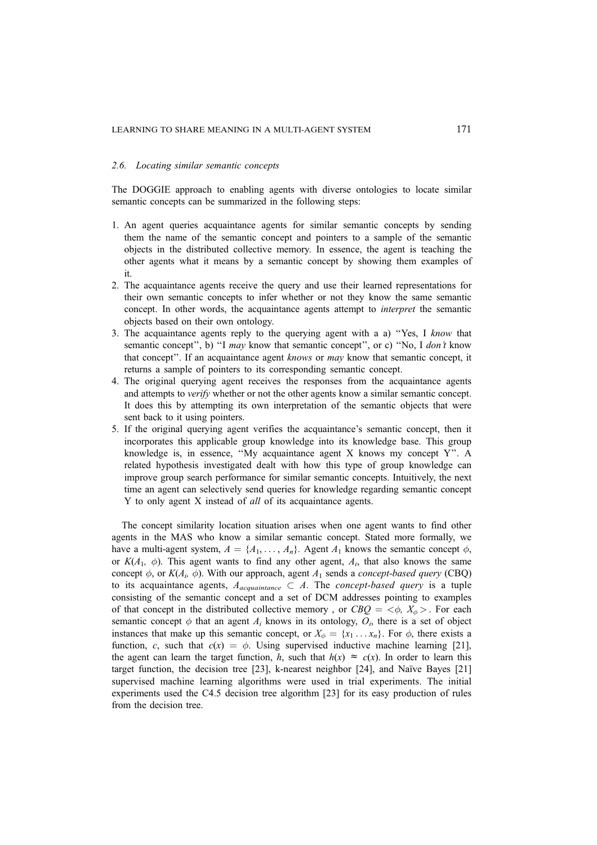#### 2.6. Locating similar semantic concepts

The DOGGIE approach to enabling agents with diverse ontologies to locate similar semantic concepts can be summarized in the following steps:

- 1. An agent queries acquaintance agents for similar semantic concepts by sending them the name of the semantic concept and pointers to a sample of the semantic objects in the distributed collective memory. In essence, the agent is teaching the other agents what it means by a semantic concept by showing them examples of it.
- 2. The acquaintance agents receive the query and use their learned representations for their own semantic concepts to infer whether or not they know the same semantic concept. In other words, the acquaintance agents attempt to interpret the semantic objects based on their own ontology.
- 3. The acquaintance agents reply to the querying agent with a a) ''Yes, I know that semantic concept", b) "I may know that semantic concept", or c) "No, I don't know that concept''. If an acquaintance agent knows or may know that semantic concept, it returns a sample of pointers to its corresponding semantic concept.
- 4. The original querying agent receives the responses from the acquaintance agents and attempts to *verify* whether or not the other agents know a similar semantic concept. It does this by attempting its own interpretation of the semantic objects that were sent back to it using pointers.
- 5. If the original querying agent verifies the acquaintance's semantic concept, then it incorporates this applicable group knowledge into its knowledge base. This group knowledge is, in essence, ''My acquaintance agent X knows my concept Y''. A related hypothesis investigated dealt with how this type of group knowledge can improve group search performance for similar semantic concepts. Intuitively, the next time an agent can selectively send queries for knowledge regarding semantic concept Y to only agent X instead of all of its acquaintance agents.

The concept similarity location situation arises when one agent wants to find other agents in the MAS who know a similar semantic concept. Stated more formally, we have a multi-agent system,  $A = \{A_1, \ldots, A_n\}$ . Agent  $A_1$  knows the semantic concept  $\phi$ , or  $K(A_1, \phi)$ . This agent wants to find any other agent,  $A_i$ , that also knows the same concept  $\phi$ , or  $K(A_i, \phi)$ . With our approach, agent  $A_1$  sends a *concept-based query* (CBQ) to its acquaintance agents,  $A_{acquaintance} \subset A$ . The *concept-based query* is a tuple consisting of the semantic concept and a set of DCM addresses pointing to examples of that concept in the distributed collective memory, or  $CBQ = \langle \phi, X_{\phi} \rangle$ . For each semantic concept  $\phi$  that an agent  $A_i$  knows in its ontology,  $O_i$ , there is a set of object instances that make up this semantic concept, or  $X_{\phi} = \{x_1 \dots x_n\}$ . For  $\phi$ , there exists a function, c, such that  $c(x) = \phi$ . Using supervised inductive machine learning [21], the agent can learn the target function, h, such that  $h(x) \approx c(x)$ . In order to learn this target function, the decision tree  $[23]$ , k-nearest neighbor  $[24]$ , and Naïve Bayes  $[21]$ supervised machine learning algorithms were used in trial experiments. The initial experiments used the C4.5 decision tree algorithm [23] for its easy production of rules from the decision tree.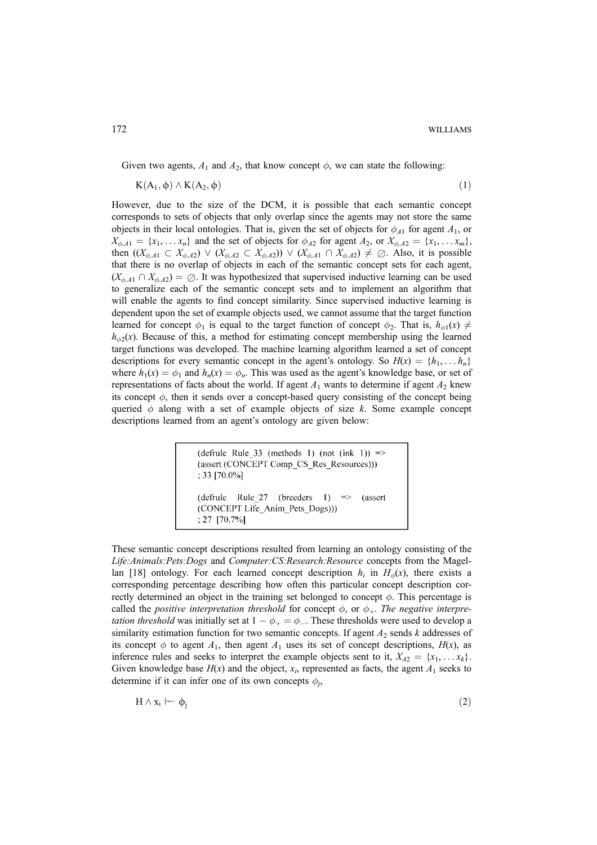Given two agents,  $A_1$  and  $A_2$ , that know concept  $\phi$ , we can state the following:

$$
K(A_1, \phi) \wedge K(A_2, \phi) \tag{1}
$$

However, due to the size of the DCM, it is possible that each semantic concept corresponds to sets of objects that only overlap since the agents may not store the same objects in their local ontologies. That is, given the set of objects for  $\phi_{A1}$  for agent  $A_1$ , or  $X_{\phi,A1} = \{x_1, \ldots x_n\}$  and the set of objects for  $\phi_{A2}$  for agent  $A_2$ , or  $X_{\phi,A2} = \{x_1, \ldots x_m\}$ , then  $((X_{\phi,A1} \subset X_{\phi,A2}) \vee (X_{\phi,A2} \subset X_{\phi,A2})) \vee (X_{\phi,A1} \cap X_{\phi,A2}) \neq \emptyset$ . Also, it is possible that there is no overlap of objects in each of the semantic concept sets for each agent,  $(X_{\phi,A1} \cap X_{\phi,A2}) = \emptyset$ . It was hypothesized that supervised inductive learning can be used to generalize each of the semantic concept sets and to implement an algorithm that will enable the agents to find concept similarity. Since supervised inductive learning is dependent upon the set of example objects used, we cannot assume that the target function learned for concept  $\phi_1$  is equal to the target function of concept  $\phi_2$ . That is,  $h_{\phi_1}(x) \neq$  $h_{\phi2}(x)$ . Because of this, a method for estimating concept membership using the learned target functions was developed. The machine learning algorithm learned a set of concept descriptions for every semantic concept in the agent's ontology. So  $H(x) = \{h_1, \ldots h_n\}$ where  $h_1(x) = \phi_1$  and  $h_n(x) = \phi_n$ . This was used as the agent's knowledge base, or set of representations of facts about the world. If agent  $A_1$  wants to determine if agent  $A_2$  knew its concept  $\phi$ , then it sends over a concept-based query consisting of the concept being queried  $\phi$  along with a set of example objects of size k. Some example concept descriptions learned from an agent's ontology are given below:

> (defrule Rule 33 (methods 1) (not (ink 1))  $\Rightarrow$ (assert (CONCEPT Comp\_CS\_Res\_Resources)))  $(33 [70.0\%]$ (defrule Rule 27 (breeders 1)  $\Rightarrow$ *(assert* (CONCEPT Life\_Anim\_Pets\_Dogs)))  $; 27$  [70.7%]

These semantic concept descriptions resulted from learning an ontology consisting of the Life:Animals:Pets:Dogs and Computer:CS:Research:Resource concepts from the Magellan [18] ontology. For each learned concept description  $h_i$  in  $H_\phi(x)$ , there exists a corresponding percentage describing how often this particular concept description correctly determined an object in the training set belonged to concept  $\phi$ . This percentage is called the positive interpretation threshold for concept  $\phi$ , or  $\phi_+$ . The negative interpre*tation threshold* was initially set at  $1 - \phi_+ = \phi_-$ . These thresholds were used to develop a similarity estimation function for two semantic concepts. If agent  $A_2$  sends k addresses of its concept  $\phi$  to agent  $A_1$ , then agent  $A_1$  uses its set of concept descriptions,  $H(x)$ , as inference rules and seeks to interpret the example objects sent to it,  $X_{A2} = \{x_1, \ldots x_k\}.$ Given knowledge base  $H(x)$  and the object,  $x_i$ , represented as facts, the agent  $A_1$  seeks to determine if it can infer one of its own concepts  $\phi_j$ ,

$$
H \wedge x_i \vdash \varphi_j \tag{2}
$$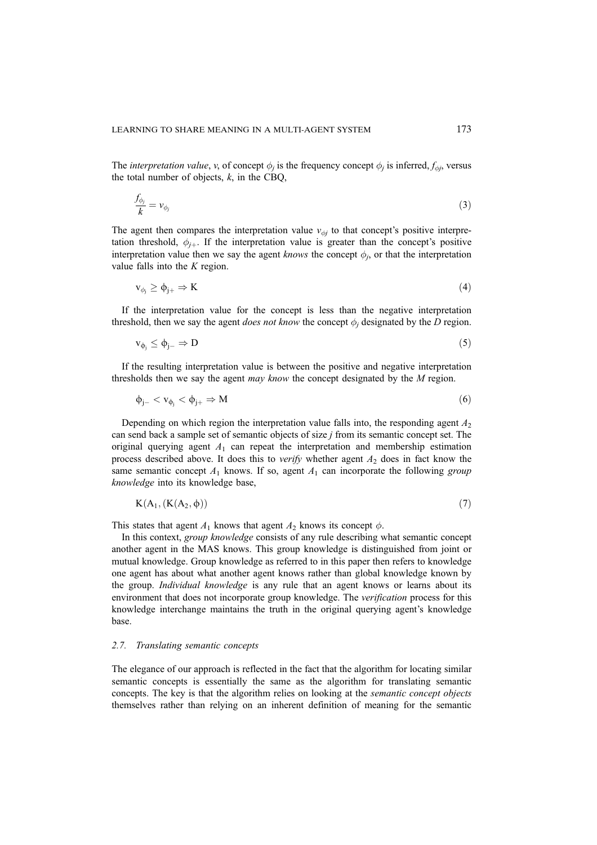The *interpretation value*, v, of concept  $\phi_j$  is the frequency concept  $\phi_j$  is inferred,  $f_{\phi_j}$ , versus the total number of objects,  $k$ , in the CBQ,

$$
\frac{f_{\phi_j}}{k} = v_{\phi_j} \tag{3}
$$

The agent then compares the interpretation value  $v_{\phi j}$  to that concept's positive interpretation threshold,  $\phi_{j+}$ . If the interpretation value is greater than the concept's positive interpretation value then we say the agent *knows* the concept  $\phi_j$ , or that the interpretation value falls into the  $K$  region.

$$
v_{\phi_j} \ge \phi_{j+} \Rightarrow K \tag{4}
$$

If the interpretation value for the concept is less than the negative interpretation threshold, then we say the agent *does not know* the concept  $\phi_j$  designated by the D region.

$$
v_{\phi_j} \le \phi_{j-} \Rightarrow D \tag{5}
$$

If the resulting interpretation value is between the positive and negative interpretation thresholds then we say the agent may know the concept designated by the  $M$  region.

$$
\phi_{j-} < v_{\phi_j} < \phi_{j+} \Rightarrow M \tag{6}
$$

Depending on which region the interpretation value falls into, the responding agent  $A_2$ can send back a sample set of semantic objects of size j from its semantic concept set. The original querying agent  $A_1$  can repeat the interpretation and membership estimation process described above. It does this to *verify* whether agent  $A_2$  does in fact know the same semantic concept  $A_1$  knows. If so, agent  $A_1$  can incorporate the following group knowledge into its knowledge base,

$$
K(A_1, (K(A_2, \phi))
$$
\n<sup>(7)</sup>

This states that agent  $A_1$  knows that agent  $A_2$  knows its concept  $\phi$ .

In this context, group knowledge consists of any rule describing what semantic concept another agent in the MAS knows. This group knowledge is distinguished from joint or mutual knowledge. Group knowledge as referred to in this paper then refers to knowledge one agent has about what another agent knows rather than global knowledge known by the group. Individual knowledge is any rule that an agent knows or learns about its environment that does not incorporate group knowledge. The verification process for this knowledge interchange maintains the truth in the original querying agent's knowledge base.

### 2.7. Translating semantic concepts

The elegance of our approach is reflected in the fact that the algorithm for locating similar semantic concepts is essentially the same as the algorithm for translating semantic concepts. The key is that the algorithm relies on looking at the semantic concept objects themselves rather than relying on an inherent definition of meaning for the semantic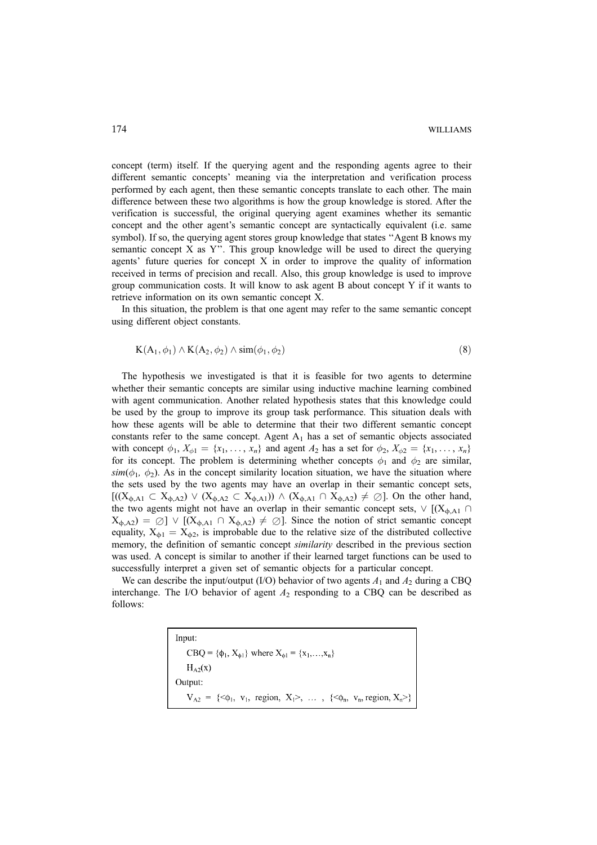concept (term) itself. If the querying agent and the responding agents agree to their different semantic concepts' meaning via the interpretation and verification process performed by each agent, then these semantic concepts translate to each other. The main difference between these two algorithms is how the group knowledge is stored. After the verification is successful, the original querying agent examines whether its semantic concept and the other agent's semantic concept are syntactically equivalent (i.e. same symbol). If so, the querying agent stores group knowledge that states ''Agent B knows my semantic concept X as Y". This group knowledge will be used to direct the querying agents' future queries for concept X in order to improve the quality of information received in terms of precision and recall. Also, this group knowledge is used to improve group communication costs. It will know to ask agent B about concept Y if it wants to retrieve information on its own semantic concept X.

In this situation, the problem is that one agent may refer to the same semantic concept using different object constants.

$$
K(A_1, \phi_1) \wedge K(A_2, \phi_2) \wedge \text{sim}(\phi_1, \phi_2)
$$
\n
$$
(8)
$$

The hypothesis we investigated is that it is feasible for two agents to determine whether their semantic concepts are similar using inductive machine learning combined with agent communication. Another related hypothesis states that this knowledge could be used by the group to improve its group task performance. This situation deals with how these agents will be able to determine that their two different semantic concept constants refer to the same concept. Agent  $A_1$  has a set of semantic objects associated with concept  $\phi_1, X_{\phi 1} = \{x_1, \ldots, x_n\}$  and agent  $A_2$  has a set for  $\phi_2, X_{\phi 2} = \{x_1, \ldots, x_n\}$ for its concept. The problem is determining whether concepts  $\phi_1$  and  $\phi_2$  are similar,  $\sin(\phi_1, \phi_2)$ . As in the concept similarity location situation, we have the situation where the sets used by the two agents may have an overlap in their semantic concept sets,  $[((X_{\phi,A1} \subset X_{\phi,A2}) \vee (X_{\phi,A2} \subset X_{\phi,A1})) \wedge (X_{\phi,A1} \cap X_{\phi,A2}) \neq \emptyset]$ . On the other hand, the two agents might not have an overlap in their semantic concept sets,  $\vee$   $[(X_{\phi,A1} \cap$  $X_{\phi,A2}) = \emptyset$   $\vee$   $[(X_{\phi,A1} \cap X_{\phi,A2}) \neq \emptyset]$ . Since the notion of strict semantic concept equality,  $X_{\phi1} = X_{\phi2}$ , is improbable due to the relative size of the distributed collective memory, the definition of semantic concept *similarity* described in the previous section was used. A concept is similar to another if their learned target functions can be used to successfully interpret a given set of semantic objects for a particular concept.

We can describe the input/output (I/O) behavior of two agents  $A_1$  and  $A_2$  during a CBQ interchange. The I/O behavior of agent  $A_2$  responding to a CBQ can be described as follows:

> Input: CBQ = { $\phi_1$ ,  $X_{\phi 1}$ } where  $X_{\phi 1} = \{x_1, ..., x_n\}$ <br>H<sub>A2</sub>(x) Output:  $V_{A2} = \{ \langle \phi_1, v_1, \text{ region}, X_1 \rangle, \dots, \{ \langle \phi_n, v_n, \text{region}, X_n \rangle \} \}$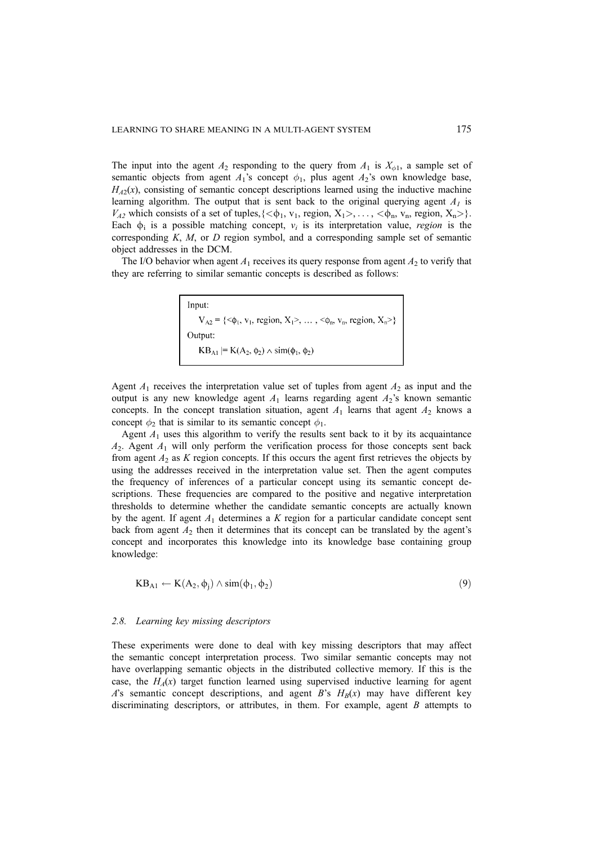The input into the agent  $A_2$  responding to the query from  $A_1$  is  $X_{\phi 1}$ , a sample set of semantic objects from agent  $A_1$ 's concept  $\phi_1$ , plus agent  $A_2$ 's own knowledge base,  $H_{A2}(x)$ , consisting of semantic concept descriptions learned using the inductive machine learning algorithm. The output that is sent back to the original querying agent  $A<sub>1</sub>$  is  $V_{A2}$  which consists of a set of tuples, { <  $\phi_1$ , v<sub>1</sub>, region, X<sub>1</sub> >, ..., <  $\phi_n$ , v<sub>n</sub>, region, X<sub>n</sub> > }. Each  $\phi_i$  is a possible matching concept,  $v_i$  is its interpretation value, *region* is the corresponding K, M, or D region symbol, and a corresponding sample set of semantic object addresses in the DCM.

The I/O behavior when agent  $A_1$  receives its query response from agent  $A_2$  to verify that they are referring to similar semantic concepts is described as follows:

Input:<br>  $V_{A2} = \{\langle \phi_1, v_1, \text{ region}, X_1 \rangle, ..., \langle \phi_n, v_n, \text{region}, X_n \rangle\}$ <br>
Output:<br>  $KB_{A1} = K(A_2, \phi_2) \land sim(\phi_1, \phi_2)$ 

Agent  $A_1$  receives the interpretation value set of tuples from agent  $A_2$  as input and the output is any new knowledge agent  $A_1$  learns regarding agent  $A_2$ 's known semantic concepts. In the concept translation situation, agent  $A_1$  learns that agent  $A_2$  knows a concept  $\phi_2$  that is similar to its semantic concept  $\phi_1$ .

Agent  $A_1$  uses this algorithm to verify the results sent back to it by its acquaintance  $A_2$ . Agent  $A_1$  will only perform the verification process for those concepts sent back from agent  $A_2$  as K region concepts. If this occurs the agent first retrieves the objects by using the addresses received in the interpretation value set. Then the agent computes the frequency of inferences of a particular concept using its semantic concept descriptions. These frequencies are compared to the positive and negative interpretation thresholds to determine whether the candidate semantic concepts are actually known by the agent. If agent  $A_1$  determines a K region for a particular candidate concept sent back from agent  $A_2$  then it determines that its concept can be translated by the agent's concept and incorporates this knowledge into its knowledge base containing group knowledge:

$$
KB_{A1} \leftarrow K(A_2, \phi_j) \wedge sim(\phi_1, \phi_2)
$$
\n(9)

# 2.8. Learning key missing descriptors

These experiments were done to deal with key missing descriptors that may affect the semantic concept interpretation process. Two similar semantic concepts may not have overlapping semantic objects in the distributed collective memory. If this is the case, the  $H<sub>A</sub>(x)$  target function learned using supervised inductive learning for agent A's semantic concept descriptions, and agent B's  $H_B(x)$  may have different key discriminating descriptors, or attributes, in them. For example, agent  $B$  attempts to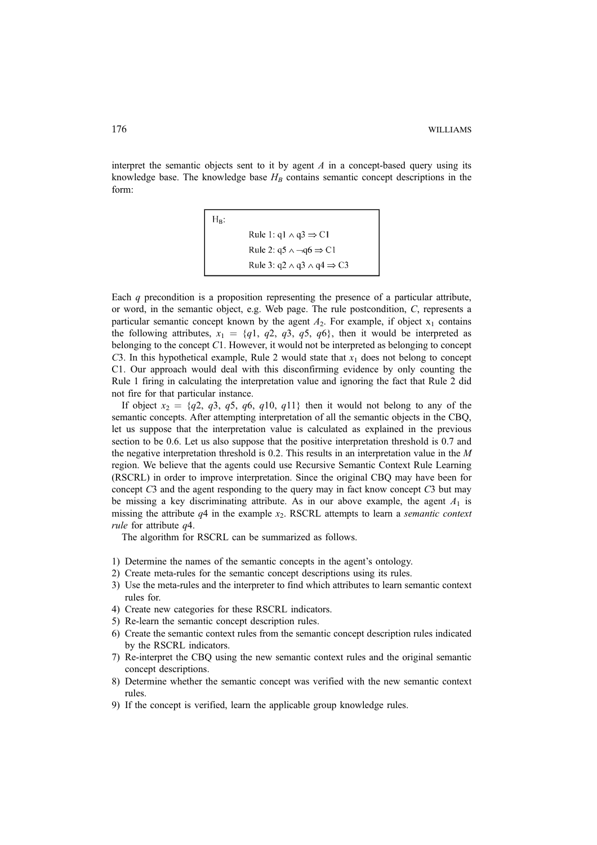interpret the semantic objects sent to it by agent  $A$  in a concept-based query using its knowledge base. The knowledge base  $H_B$  contains semantic concept descriptions in the form:

| $H_{\rm B}$ : |                                                   |
|---------------|---------------------------------------------------|
|               | Rule 1: $q1 \wedge q3 \Rightarrow C1$             |
|               | Rule 2: $q5 \wedge \neg q6 \Rightarrow \text{Cl}$ |
|               | Rule 3: $q2 \wedge q3 \wedge q4 \Rightarrow C3$   |

Each  $q$  precondition is a proposition representing the presence of a particular attribute, or word, in the semantic object, e.g. Web page. The rule postcondition, C, represents a particular semantic concept known by the agent  $A_2$ . For example, if object  $x_1$  contains the following attributes,  $x_1 = \{q1, q2, q3, q5, q6\}$ , then it would be interpreted as belonging to the concept C1. However, it would not be interpreted as belonging to concept C3. In this hypothetical example, Rule 2 would state that  $x_1$  does not belong to concept C1. Our approach would deal with this disconfirming evidence by only counting the Rule 1 firing in calculating the interpretation value and ignoring the fact that Rule 2 did not fire for that particular instance.

If object  $x_2 = \{q_2, q_3, q_5, q_6, q_1_0, q_1_1\}$  then it would not belong to any of the semantic concepts. After attempting interpretation of all the semantic objects in the CBQ, let us suppose that the interpretation value is calculated as explained in the previous section to be 0.6. Let us also suppose that the positive interpretation threshold is 0.7 and the negative interpretation threshold is 0.2. This results in an interpretation value in the  $M$ region. We believe that the agents could use Recursive Semantic Context Rule Learning (RSCRL) in order to improve interpretation. Since the original CBQ may have been for concept C3 and the agent responding to the query may in fact know concept C3 but may be missing a key discriminating attribute. As in our above example, the agent  $A_1$  is missing the attribute  $q4$  in the example  $x_2$ . RSCRL attempts to learn a *semantic context* rule for attribute q4.

The algorithm for RSCRL can be summarized as follows.

- 1) Determine the names of the semantic concepts in the agent's ontology.
- 2) Create meta-rules for the semantic concept descriptions using its rules.
- 3) Use the meta-rules and the interpreter to find which attributes to learn semantic context rules for.
- 4) Create new categories for these RSCRL indicators.
- 5) Re-learn the semantic concept description rules.
- 6) Create the semantic context rules from the semantic concept description rules indicated by the RSCRL indicators.
- 7) Re-interpret the CBQ using the new semantic context rules and the original semantic concept descriptions.
- 8) Determine whether the semantic concept was verified with the new semantic context rules.
- 9) If the concept is verified, learn the applicable group knowledge rules.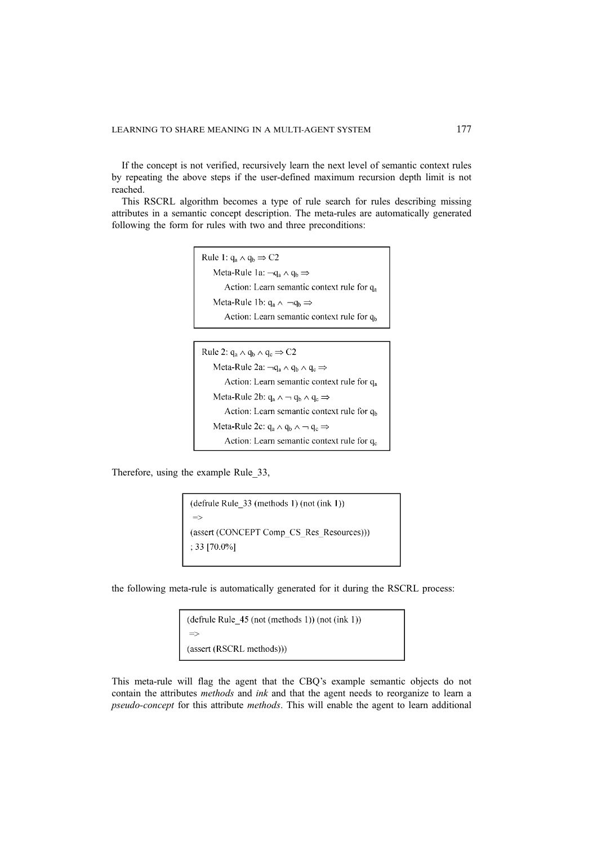If the concept is not verified, recursively learn the next level of semantic context rules by repeating the above steps if the user-defined maximum recursion depth limit is not reached.

This RSCRL algorithm becomes a type of rule search for rules describing missing attributes in a semantic concept description. The meta-rules are automatically generated following the form for rules with two and three preconditions:

```
Rule 1: q_a \wedge q_b \Rightarrow C2Meta-Rule 1a: \neg q_a \wedge q_b \RightarrowAction: Learn semantic context rule for q_aMeta-Rule 1b: q_a \wedge \neg q_b \RightarrowAction: Learn semantic context rule for q<sub>h</sub>
```
Rule 2:  $q_a \wedge q_b \wedge q_c \Rightarrow C2$ Meta-Rule 2a:  $\neg q_a \wedge q_b \wedge q_c \Rightarrow$ Action: Learn semantic context rule for q<sub>a</sub> Meta-Rule 2b:  $q_a \wedge \neg q_b \wedge q_c \Rightarrow$ Action: Learn semantic context rule for  $q<sub>b</sub>$ Meta-Rule 2c:  $q_a \wedge q_b \wedge \neg q_c \Rightarrow$ Action: Learn semantic context rule for q<sub>c</sub>

Therefore, using the example Rule\_33,

```
(defrule Rule_33 (methods 1) (not (ink 1))
(assert (CONCEPT Comp_CS_Res_Resources)))
; 33 [70.0\%]
```
the following meta-rule is automatically generated for it during the RSCRL process:

```
(defrule Rule_45 (not (methods 1)) (not (ink 1))
(assert (RSCRL methods)))
```
This meta-rule will flag the agent that the CBQ's example semantic objects do not contain the attributes *methods* and *ink* and that the agent needs to reorganize to learn a pseudo-concept for this attribute methods. This will enable the agent to learn additional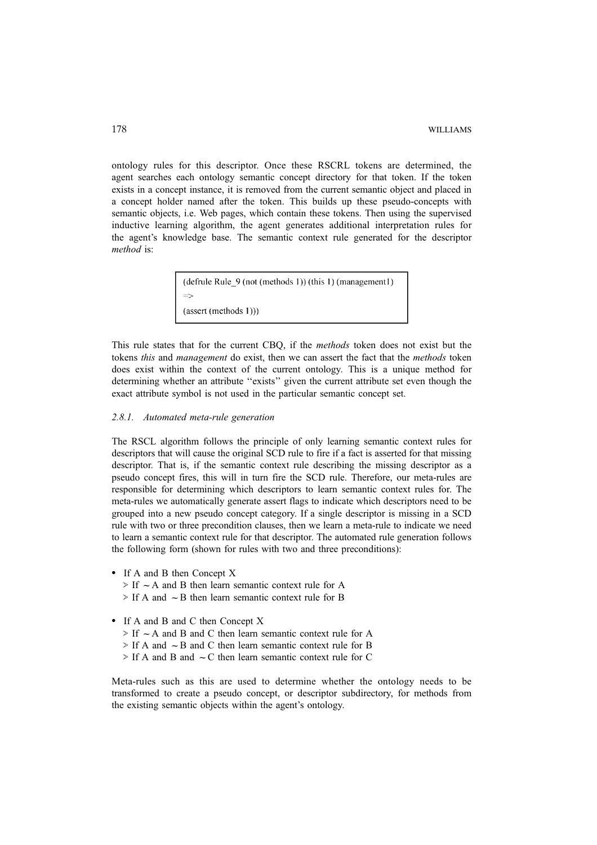ontology rules for this descriptor. Once these RSCRL tokens are determined, the agent searches each ontology semantic concept directory for that token. If the token exists in a concept instance, it is removed from the current semantic object and placed in a concept holder named after the token. This builds up these pseudo-concepts with semantic objects, i.e. Web pages, which contain these tokens. Then using the supervised inductive learning algorithm, the agent generates additional interpretation rules for the agent's knowledge base. The semantic context rule generated for the descriptor method is:

> (defrule Rule  $9$  (not (methods 1)) (this 1) (management1)  $\Rightarrow$ (assert (methods 1)))

This rule states that for the current CBQ, if the methods token does not exist but the tokens this and management do exist, then we can assert the fact that the methods token does exist within the context of the current ontology. This is a unique method for determining whether an attribute "exists" given the current attribute set even though the exact attribute symbol is not used in the particular semantic concept set.

## 2.8.1. Automated meta-rule generation

The RSCL algorithm follows the principle of only learning semantic context rules for descriptors that will cause the original SCD rule to fire if a fact is asserted for that missing descriptor. That is, if the semantic context rule describing the missing descriptor as a pseudo concept fires, this will in turn fire the SCD rule. Therefore, our meta-rules are responsible for determining which descriptors to learn semantic context rules for. The meta-rules we automatically generate assert flags to indicate which descriptors need to be grouped into a new pseudo concept category. If a single descriptor is missing in a SCD rule with two or three precondition clauses, then we learn a meta-rule to indicate we need to learn a semantic context rule for that descriptor. The automated rule generation follows the following form (shown for rules with two and three preconditions):

- If A and B then Concept X
	- $>$  If  $\sim$  A and B then learn semantic context rule for A
	- $>$  If A and  $\sim$  B then learn semantic context rule for B
- If A and B and C then Concept X
	- $>$  If  $\sim$  A and B and C then learn semantic context rule for A
	- $\geq$  If A and  $\sim$  B and C then learn semantic context rule for B
	- $>$  If A and B and  $\sim$  C then learn semantic context rule for C

Meta-rules such as this are used to determine whether the ontology needs to be transformed to create a pseudo concept, or descriptor subdirectory, for methods from the existing semantic objects within the agent's ontology.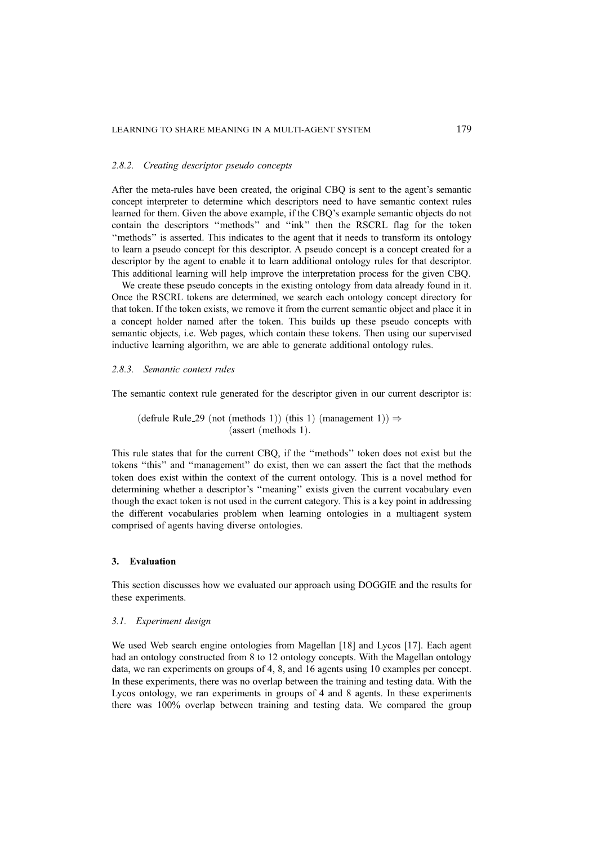#### 2.8.2. Creating descriptor pseudo concepts

After the meta-rules have been created, the original CBQ is sent to the agent's semantic concept interpreter to determine which descriptors need to have semantic context rules learned for them. Given the above example, if the CBQ's example semantic objects do not contain the descriptors ''methods'' and ''ink'' then the RSCRL flag for the token "methods" is asserted. This indicates to the agent that it needs to transform its ontology to learn a pseudo concept for this descriptor. A pseudo concept is a concept created for a descriptor by the agent to enable it to learn additional ontology rules for that descriptor. This additional learning will help improve the interpretation process for the given CBQ.

We create these pseudo concepts in the existing ontology from data already found in it. Once the RSCRL tokens are determined, we search each ontology concept directory for that token. If the token exists, we remove it from the current semantic object and place it in a concept holder named after the token. This builds up these pseudo concepts with semantic objects, i.e. Web pages, which contain these tokens. Then using our supervised inductive learning algorithm, we are able to generate additional ontology rules.

# 2.8.3. Semantic context rules

The semantic context rule generated for the descriptor given in our current descriptor is:

(defrule Rule 29 (not (methods 1)) (this 1) (management 1))  $\Rightarrow$ (assert (methods 1).

This rule states that for the current CBQ, if the ''methods'' token does not exist but the tokens ''this'' and ''management'' do exist, then we can assert the fact that the methods token does exist within the context of the current ontology. This is a novel method for determining whether a descriptor's ''meaning'' exists given the current vocabulary even though the exact token is not used in the current category. This is a key point in addressing the different vocabularies problem when learning ontologies in a multiagent system comprised of agents having diverse ontologies.

## 3. Evaluation

This section discusses how we evaluated our approach using DOGGIE and the results for these experiments.

# 3.1. Experiment design

We used Web search engine ontologies from Magellan [18] and Lycos [17]. Each agent had an ontology constructed from 8 to 12 ontology concepts. With the Magellan ontology data, we ran experiments on groups of 4, 8, and 16 agents using 10 examples per concept. In these experiments, there was no overlap between the training and testing data. With the Lycos ontology, we ran experiments in groups of 4 and 8 agents. In these experiments there was 100% overlap between training and testing data. We compared the group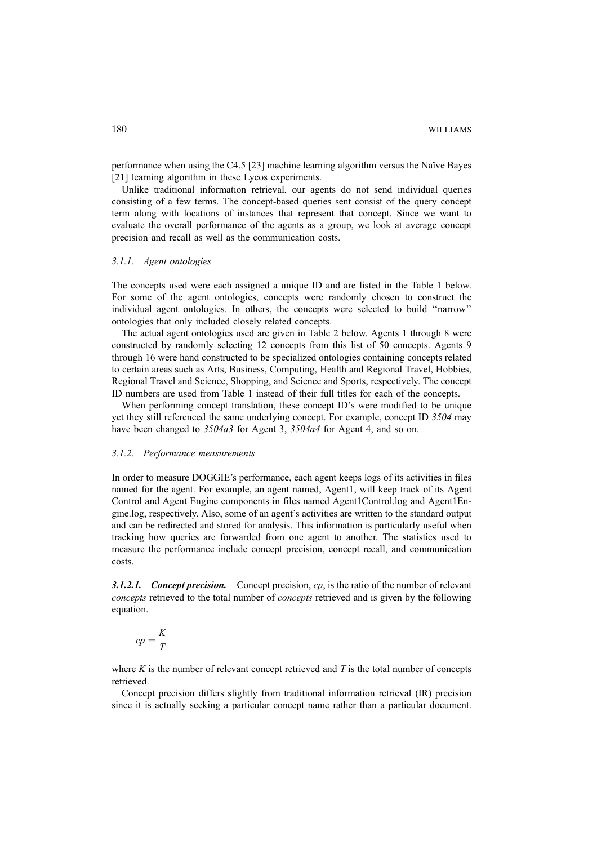performance when using the C4.5 [23] machine learning algorithm versus the Naïve Bayes [21] learning algorithm in these Lycos experiments.

Unlike traditional information retrieval, our agents do not send individual queries consisting of a few terms. The concept-based queries sent consist of the query concept term along with locations of instances that represent that concept. Since we want to evaluate the overall performance of the agents as a group, we look at average concept precision and recall as well as the communication costs.

# 3.1.1. Agent ontologies

The concepts used were each assigned a unique ID and are listed in the Table 1 below. For some of the agent ontologies, concepts were randomly chosen to construct the individual agent ontologies. In others, the concepts were selected to build ''narrow'' ontologies that only included closely related concepts.

The actual agent ontologies used are given in Table 2 below. Agents 1 through 8 were constructed by randomly selecting 12 concepts from this list of 50 concepts. Agents 9 through 16 were hand constructed to be specialized ontologies containing concepts related to certain areas such as Arts, Business, Computing, Health and Regional Travel, Hobbies, Regional Travel and Science, Shopping, and Science and Sports, respectively. The concept ID numbers are used from Table 1 instead of their full titles for each of the concepts.

When performing concept translation, these concept ID's were modified to be unique yet they still referenced the same underlying concept. For example, concept ID 3504 may have been changed to  $3504a3$  for Agent 3,  $3504a4$  for Agent 4, and so on.

## 3.1.2. Performance measurements

In order to measure DOGGIE's performance, each agent keeps logs of its activities in files named for the agent. For example, an agent named, Agent1, will keep track of its Agent Control and Agent Engine components in files named Agent1Control.log and Agent1Engine.log, respectively. Also, some of an agent's activities are written to the standard output and can be redirected and stored for analysis. This information is particularly useful when tracking how queries are forwarded from one agent to another. The statistics used to measure the performance include concept precision, concept recall, and communication costs.

3.1.2.1. Concept precision. Concept precision,  $cp$ , is the ratio of the number of relevant concepts retrieved to the total number of concepts retrieved and is given by the following equation.

$$
cp = \frac{K}{T}
$$

where K is the number of relevant concept retrieved and T is the total number of concepts retrieved.

Concept precision differs slightly from traditional information retrieval (IR) precision since it is actually seeking a particular concept name rather than a particular document.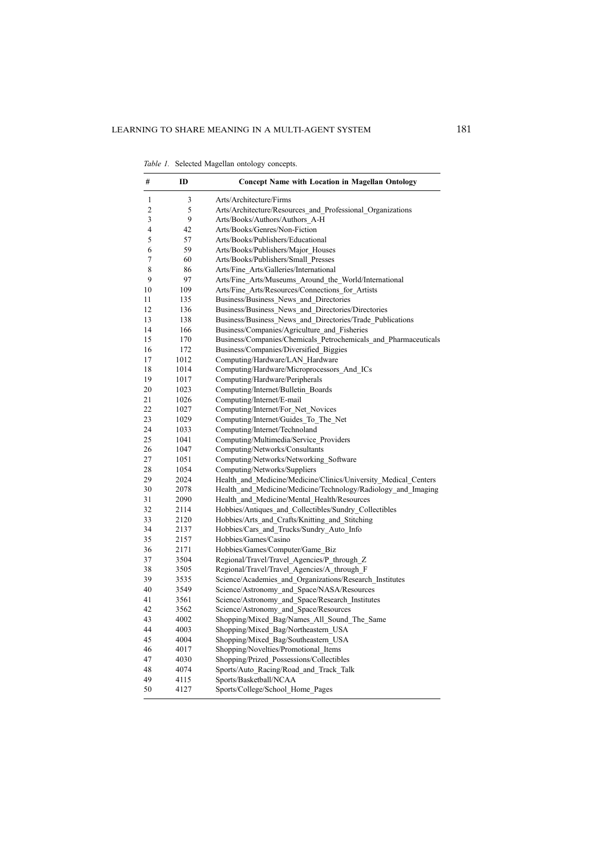|  |  | Table 1. Selected Magellan ontology concepts. |  |  |
|--|--|-----------------------------------------------|--|--|
|--|--|-----------------------------------------------|--|--|

| #              | ID   | <b>Concept Name with Location in Magellan Ontology</b>          |
|----------------|------|-----------------------------------------------------------------|
| 1              | 3    | Arts/Architecture/Firms                                         |
| $\overline{c}$ | 5    | Arts/Architecture/Resources_and_Professional_Organizations      |
| 3              | 9    | Arts/Books/Authors/Authors A-H                                  |
| $\overline{4}$ | 42   | Arts/Books/Genres/Non-Fiction                                   |
| 5              | 57   | Arts/Books/Publishers/Educational                               |
| 6              | 59   | Arts/Books/Publishers/Major Houses                              |
| 7              | 60   | Arts/Books/Publishers/Small Presses                             |
| 8              | 86   | Arts/Fine Arts/Galleries/International                          |
| 9              | 97   | Arts/Fine Arts/Museums Around the World/International           |
| 10             | 109  | Arts/Fine Arts/Resources/Connections for Artists                |
| 11             | 135  | Business/Business News and Directories                          |
| 12             | 136  | Business/Business News and Directories/Directories              |
| 13             | 138  | Business/Business News and Directories/Trade Publications       |
| 14             | 166  | Business/Companies/Agriculture and Fisheries                    |
| 15             | 170  | Business/Companies/Chemicals Petrochemicals and Pharmaceuticals |
| 16             | 172  | Business/Companies/Diversified Biggies                          |
| 17             | 1012 | Computing/Hardware/LAN Hardware                                 |
| 18             | 1014 | Computing/Hardware/Microprocessors_And_ICs                      |
| 19             | 1017 | Computing/Hardware/Peripherals                                  |
| 20             | 1023 | Computing/Internet/Bulletin Boards                              |
| 21             | 1026 | Computing/Internet/E-mail                                       |
| 22             | 1027 | Computing/Internet/For Net Novices                              |
| 23             | 1029 | Computing/Internet/Guides To The Net                            |
| 24             | 1033 | Computing/Internet/Technoland                                   |
| 25             | 1041 | Computing/Multimedia/Service Providers                          |
| 26             | 1047 | Computing/Networks/Consultants                                  |
| 27             | 1051 | Computing/Networks/Networking Software                          |
| 28             | 1054 | Computing/Networks/Suppliers                                    |
| 29             | 2024 | Health_and_Medicine/Medicine/Clinics/University_Medical_Centers |
| 30             | 2078 | Health_and_Medicine/Medicine/Technology/Radiology_and_Imaging   |
| 31             | 2090 | Health and Medicine/Mental Health/Resources                     |
| 32             | 2114 | Hobbies/Antiques and Collectibles/Sundry Collectibles           |
| 33             | 2120 | Hobbies/Arts and Crafts/Knitting and Stitching                  |
| 34             | 2137 | Hobbies/Cars and Trucks/Sundry Auto Info                        |
| 35             | 2157 | Hobbies/Games/Casino                                            |
| 36             | 2171 | Hobbies/Games/Computer/Game Biz                                 |
| 37             | 3504 | Regional/Travel/Travel_Agencies/P_through_Z                     |
| 38             | 3505 | Regional/Travel/Travel_Agencies/A_through_F                     |
| 39             | 3535 | Science/Academies and Organizations/Research Institutes         |
| 40             | 3549 | Science/Astronomy and Space/NASA/Resources                      |
| 41             | 3561 | Science/Astronomy and Space/Research Institutes                 |
| 42             | 3562 | Science/Astronomy_and_Space/Resources                           |
| 43             | 4002 | Shopping/Mixed Bag/Names All Sound The Same                     |
| 44             | 4003 | Shopping/Mixed Bag/Northeastern USA                             |
| 45             | 4004 | Shopping/Mixed Bag/Southeastern USA                             |
| 46             | 4017 | Shopping/Novelties/Promotional Items                            |
| 47             | 4030 | Shopping/Prized Possessions/Collectibles                        |
| 48             | 4074 | Sports/Auto_Racing/Road_and_Track_Talk                          |
| 49             | 4115 | Sports/Basketball/NCAA                                          |
| 50             | 4127 | Sports/College/School Home Pages                                |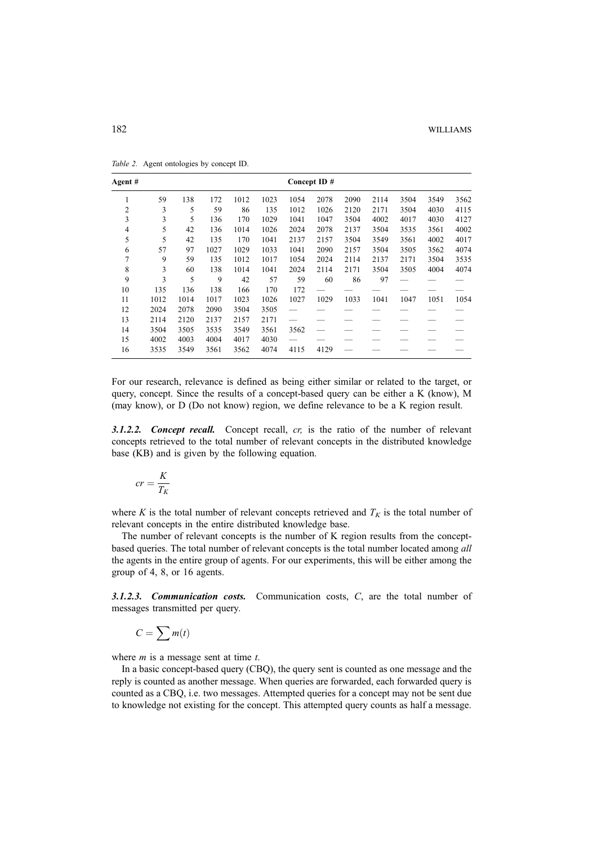| Agent #        |      |      |      |      |      |      | Concept ID# |      |      |      |      |      |
|----------------|------|------|------|------|------|------|-------------|------|------|------|------|------|
| 1              | 59   | 138  | 172  | 1012 | 1023 | 1054 | 2078        | 2090 | 2114 | 3504 | 3549 | 3562 |
| 2              | 3    | 5    | 59   | 86   | 135  | 1012 | 1026        | 2120 | 2171 | 3504 | 4030 | 4115 |
| 3              | 3    | 5    | 136  | 170  | 1029 | 1041 | 1047        | 3504 | 4002 | 4017 | 4030 | 4127 |
| $\overline{4}$ | 5    | 42   | 136  | 1014 | 1026 | 2024 | 2078        | 2137 | 3504 | 3535 | 3561 | 4002 |
| 5              | 5    | 42   | 135  | 170  | 1041 | 2137 | 2157        | 3504 | 3549 | 3561 | 4002 | 4017 |
| 6              | 57   | 97   | 1027 | 1029 | 1033 | 1041 | 2090        | 2157 | 3504 | 3505 | 3562 | 4074 |
| 7              | 9    | 59   | 135  | 1012 | 1017 | 1054 | 2024        | 2114 | 2137 | 2171 | 3504 | 3535 |
| 8              | 3    | 60   | 138  | 1014 | 1041 | 2024 | 2114        | 2171 | 3504 | 3505 | 4004 | 4074 |
| 9              | 3    | 5    | 9    | 42   | 57   | 59   | 60          | 86   | 97   |      |      |      |
| 10             | 135  | 136  | 138  | 166  | 170  | 172  |             |      |      |      |      |      |
| 11             | 1012 | 1014 | 1017 | 1023 | 1026 | 1027 | 1029        | 1033 | 1041 | 1047 | 1051 | 1054 |
| 12             | 2024 | 2078 | 2090 | 3504 | 3505 |      |             |      |      |      |      |      |
| 13             | 2114 | 2120 | 2137 | 2157 | 2171 |      |             |      |      |      |      |      |
| 14             | 3504 | 3505 | 3535 | 3549 | 3561 | 3562 |             |      |      |      |      |      |
| 15             | 4002 | 4003 | 4004 | 4017 | 4030 |      |             |      |      |      |      |      |
| 16             | 3535 | 3549 | 3561 | 3562 | 4074 | 4115 | 4129        |      |      |      |      |      |

Table 2. Agent ontologies by concept ID.

For our research, relevance is defined as being either similar or related to the target, or query, concept. Since the results of a concept-based query can be either a K (know), M (may know), or D (Do not know) region, we define relevance to be a K region result.

3.1.2.2. Concept recall. Concept recall,  $cr$ , is the ratio of the number of relevant concepts retrieved to the total number of relevant concepts in the distributed knowledge base (KB) and is given by the following equation.

$$
cr=\frac{K}{T_K}
$$

where K is the total number of relevant concepts retrieved and  $T_K$  is the total number of relevant concepts in the entire distributed knowledge base.

The number of relevant concepts is the number of K region results from the conceptbased queries. The total number of relevant concepts is the total number located among all the agents in the entire group of agents. For our experiments, this will be either among the group of 4, 8, or 16 agents.

 $3.1.2.3.$  *Communication costs.* Communication costs,  $C$ , are the total number of messages transmitted per query.

$$
C = \sum m(t)
$$

where  $m$  is a message sent at time  $t$ .

In a basic concept-based query (CBQ), the query sent is counted as one message and the reply is counted as another message. When queries are forwarded, each forwarded query is counted as a CBQ, i.e. two messages. Attempted queries for a concept may not be sent due to knowledge not existing for the concept. This attempted query counts as half a message.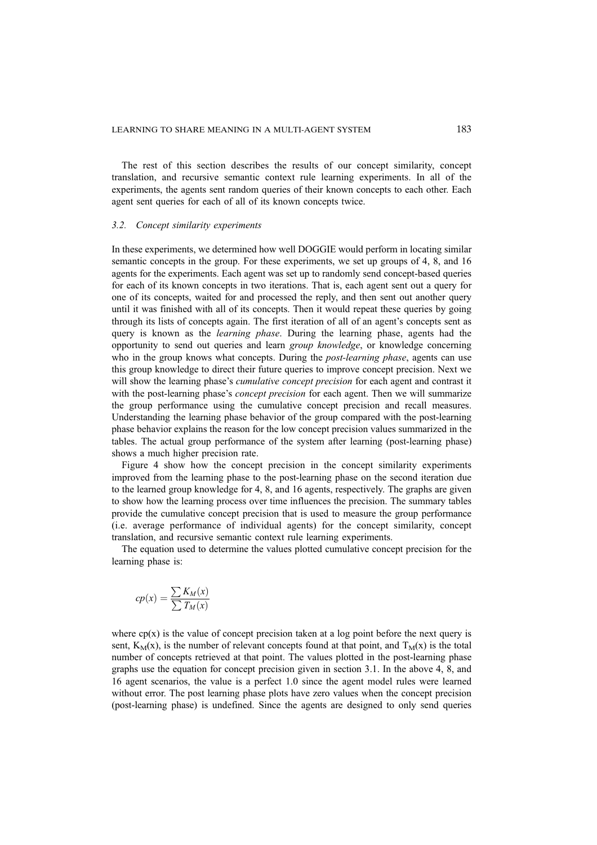The rest of this section describes the results of our concept similarity, concept translation, and recursive semantic context rule learning experiments. In all of the experiments, the agents sent random queries of their known concepts to each other. Each agent sent queries for each of all of its known concepts twice.

## 3.2. Concept similarity experiments

In these experiments, we determined how well DOGGIE would perform in locating similar semantic concepts in the group. For these experiments, we set up groups of 4, 8, and 16 agents for the experiments. Each agent was set up to randomly send concept-based queries for each of its known concepts in two iterations. That is, each agent sent out a query for one of its concepts, waited for and processed the reply, and then sent out another query until it was finished with all of its concepts. Then it would repeat these queries by going through its lists of concepts again. The first iteration of all of an agent's concepts sent as query is known as the *learning phase*. During the learning phase, agents had the opportunity to send out queries and learn group knowledge, or knowledge concerning who in the group knows what concepts. During the *post-learning phase*, agents can use this group knowledge to direct their future queries to improve concept precision. Next we will show the learning phase's *cumulative concept precision* for each agent and contrast it with the post-learning phase's *concept precision* for each agent. Then we will summarize the group performance using the cumulative concept precision and recall measures. Understanding the learning phase behavior of the group compared with the post-learning phase behavior explains the reason for the low concept precision values summarized in the tables. The actual group performance of the system after learning (post-learning phase) shows a much higher precision rate.

Figure 4 show how the concept precision in the concept similarity experiments improved from the learning phase to the post-learning phase on the second iteration due to the learned group knowledge for 4, 8, and 16 agents, respectively. The graphs are given to show how the learning process over time influences the precision. The summary tables provide the cumulative concept precision that is used to measure the group performance (i.e. average performance of individual agents) for the concept similarity, concept translation, and recursive semantic context rule learning experiments.

The equation used to determine the values plotted cumulative concept precision for the learning phase is:

$$
cp(x) = \frac{\sum K_M(x)}{\sum T_M(x)}
$$

where  $cp(x)$  is the value of concept precision taken at a log point before the next query is sent,  $K_M(x)$ , is the number of relevant concepts found at that point, and  $T_M(x)$  is the total number of concepts retrieved at that point. The values plotted in the post-learning phase graphs use the equation for concept precision given in section 3.1. In the above 4, 8, and 16 agent scenarios, the value is a perfect 1.0 since the agent model rules were learned without error. The post learning phase plots have zero values when the concept precision (post-learning phase) is undefined. Since the agents are designed to only send queries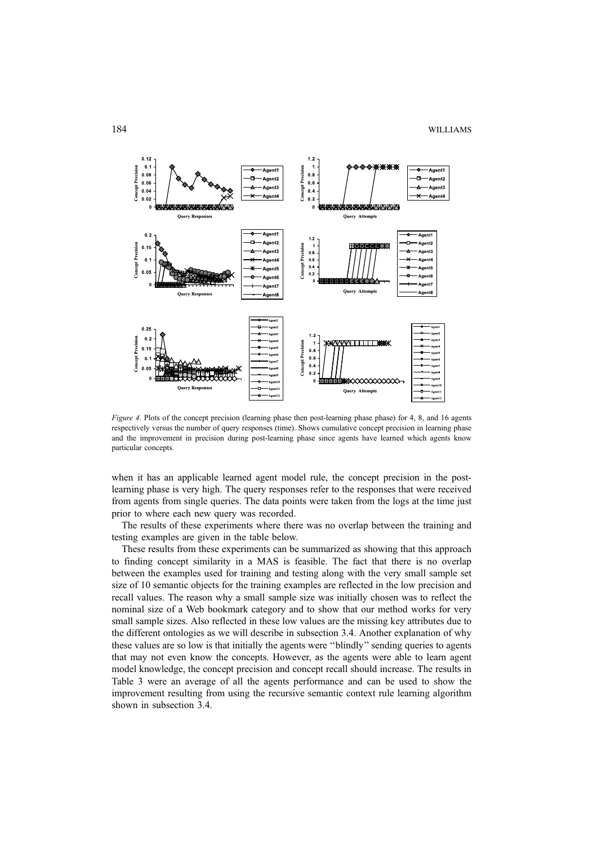

Figure 4. Plots of the concept precision (learning phase then post-learning phase phase) for 4, 8, and 16 agents respectively versus the number of query responses (time). Shows cumulative concept precision in learning phase and the improvement in precision during post-learning phase since agents have learned which agents know particular concepts.

when it has an applicable learned agent model rule, the concept precision in the postlearning phase is very high. The query responses refer to the responses that were received from agents from single queries. The data points were taken from the logs at the time just prior to where each new query was recorded.

The results of these experiments where there was no overlap between the training and testing examples are given in the table below.

These results from these experiments can be summarized as showing that this approach to finding concept similarity in a MAS is feasible. The fact that there is no overlap between the examples used for training and testing along with the very small sample set size of 10 semantic objects for the training examples are reflected in the low precision and recall values. The reason why a small sample size was initially chosen was to reflect the nominal size of a Web bookmark category and to show that our method works for very small sample sizes. Also reflected in these low values are the missing key attributes due to the different ontologies as we will describe in subsection 3.4. Another explanation of why these values are so low is that initially the agents were ''blindly'' sending queries to agents that may not even know the concepts. However, as the agents were able to learn agent model knowledge, the concept precision and concept recall should increase. The results in Table 3 were an average of all the agents performance and can be used to show the improvement resulting from using the recursive semantic context rule learning algorithm shown in subsection 3.4.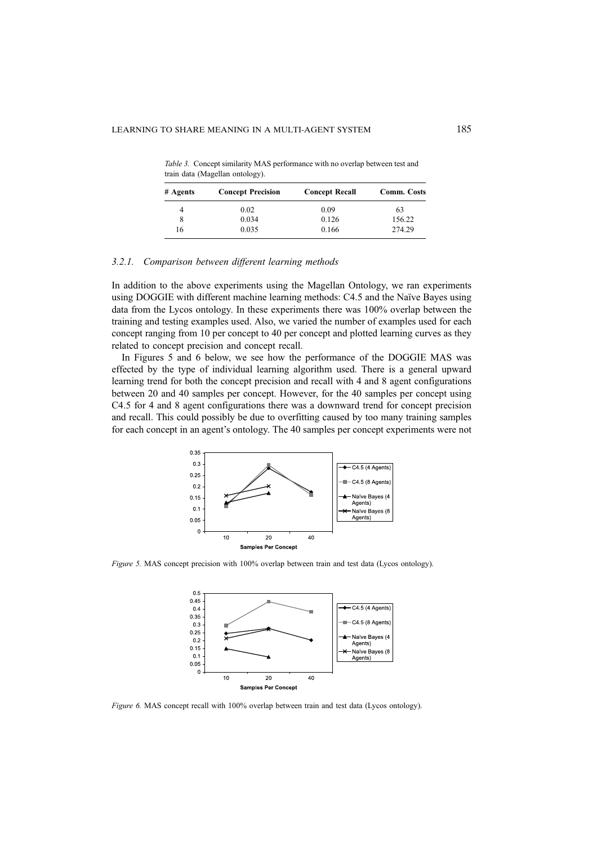Table 3. Concept similarity MAS performance with no overlap between test and train data (Magellan ontology).

| # Agents | <b>Concept Precision</b> | <b>Concept Recall</b> | Comm. Costs |  |
|----------|--------------------------|-----------------------|-------------|--|
| 4        | 0.02                     | 0.09                  | 63          |  |
|          | 0.034                    | 0.126                 | 156.22      |  |
| 16       | 0.035                    | 0.166                 | 274.29      |  |

# 3.2.1. Comparison between different learning methods

In addition to the above experiments using the Magellan Ontology, we ran experiments using DOGGIE with different machine learning methods: C4.5 and the Naïve Bayes using data from the Lycos ontology. In these experiments there was 100% overlap between the training and testing examples used. Also, we varied the number of examples used for each concept ranging from 10 per concept to 40 per concept and plotted learning curves as they related to concept precision and concept recall.

In Figures 5 and 6 below, we see how the performance of the DOGGIE MAS was effected by the type of individual learning algorithm used. There is a general upward learning trend for both the concept precision and recall with 4 and 8 agent configurations between 20 and 40 samples per concept. However, for the 40 samples per concept using C4.5 for 4 and 8 agent configurations there was a downward trend for concept precision and recall. This could possibly be due to overfitting caused by too many training samples for each concept in an agent's ontology. The 40 samples per concept experiments were not



Figure 5. MAS concept precision with 100% overlap between train and test data (Lycos ontology).



Figure 6. MAS concept recall with 100% overlap between train and test data (Lycos ontology).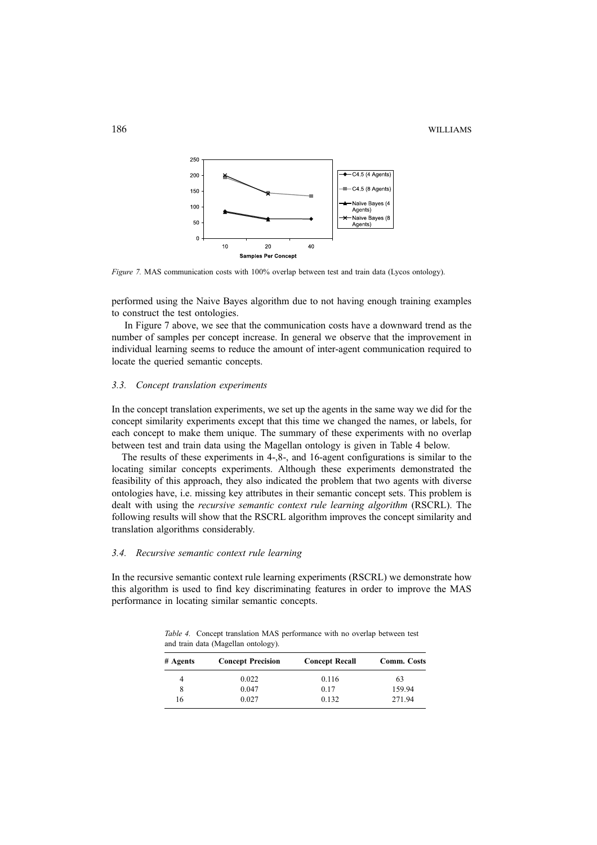

Figure 7. MAS communication costs with 100% overlap between test and train data (Lycos ontology).

performed using the Naive Bayes algorithm due to not having enough training examples to construct the test ontologies.

In Figure 7 above, we see that the communication costs have a downward trend as the number of samples per concept increase. In general we observe that the improvement in individual learning seems to reduce the amount of inter-agent communication required to locate the queried semantic concepts.

#### 3.3. Concept translation experiments

In the concept translation experiments, we set up the agents in the same way we did for the concept similarity experiments except that this time we changed the names, or labels, for each concept to make them unique. The summary of these experiments with no overlap between test and train data using the Magellan ontology is given in Table 4 below.

The results of these experiments in 4-,8-, and 16-agent configurations is similar to the locating similar concepts experiments. Although these experiments demonstrated the feasibility of this approach, they also indicated the problem that two agents with diverse ontologies have, i.e. missing key attributes in their semantic concept sets. This problem is dealt with using the recursive semantic context rule learning algorithm (RSCRL). The following results will show that the RSCRL algorithm improves the concept similarity and translation algorithms considerably.

## 3.4. Recursive semantic context rule learning

In the recursive semantic context rule learning experiments (RSCRL) we demonstrate how this algorithm is used to find key discriminating features in order to improve the MAS performance in locating similar semantic concepts.

Table 4. Concept translation MAS performance with no overlap between test and train data (Magellan ontology).

| # Agents | <b>Concept Precision</b> | <b>Concept Recall</b> | <b>Comm.</b> Costs |  |
|----------|--------------------------|-----------------------|--------------------|--|
| 4        | 0.022                    | 0.116                 | 63                 |  |
| 8        | 0.047                    | 0.17                  | 159.94             |  |
| 16       | 0.027                    | 0.132                 | 271.94             |  |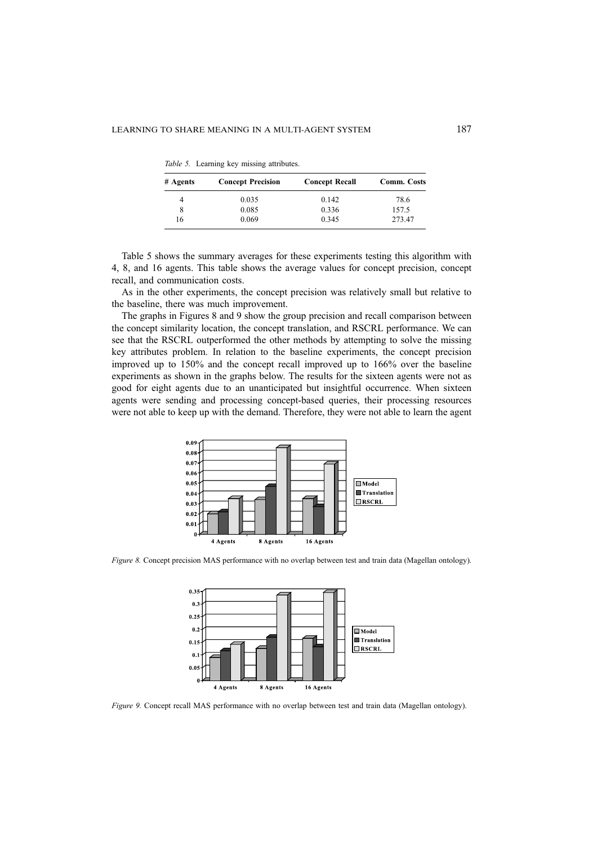| <i>Table 5.</i> Learning key missing attributes. |  |  |
|--------------------------------------------------|--|--|
|--------------------------------------------------|--|--|

| # Agents | <b>Concept Precision</b> | <b>Concept Recall</b> | Comm. Costs |  |
|----------|--------------------------|-----------------------|-------------|--|
| 4        | 0.035                    | 0.142                 | 78.6        |  |
| 8        | 0.085                    | 0.336                 | 157.5       |  |
| 16       | 0.069                    | 0.345                 | 273.47      |  |

Table 5 shows the summary averages for these experiments testing this algorithm with 4, 8, and 16 agents. This table shows the average values for concept precision, concept recall, and communication costs.

As in the other experiments, the concept precision was relatively small but relative to the baseline, there was much improvement.

The graphs in Figures 8 and 9 show the group precision and recall comparison between the concept similarity location, the concept translation, and RSCRL performance. We can see that the RSCRL outperformed the other methods by attempting to solve the missing key attributes problem. In relation to the baseline experiments, the concept precision improved up to 150% and the concept recall improved up to 166% over the baseline experiments as shown in the graphs below. The results for the sixteen agents were not as good for eight agents due to an unanticipated but insightful occurrence. When sixteen agents were sending and processing concept-based queries, their processing resources were not able to keep up with the demand. Therefore, they were not able to learn the agent



Figure 8. Concept precision MAS performance with no overlap between test and train data (Magellan ontology).



Figure 9. Concept recall MAS performance with no overlap between test and train data (Magellan ontology).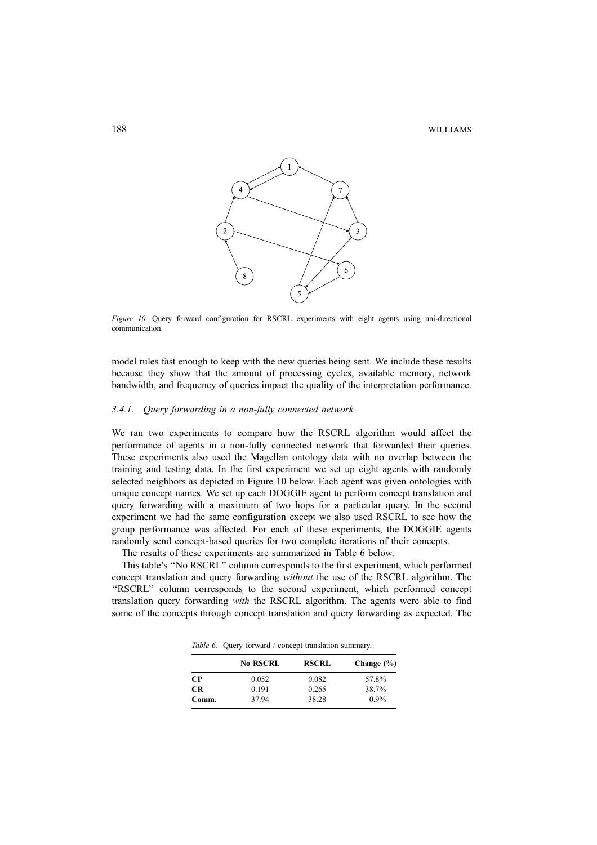

Figure 10. Query forward configuration for RSCRL experiments with eight agents using uni-directional communication.

model rules fast enough to keep with the new queries being sent. We include these results because they show that the amount of processing cycles, available memory, network bandwidth, and frequency of queries impact the quality of the interpretation performance.

## 3.4.1. Query forwarding in a non-fully connected network

We ran two experiments to compare how the RSCRL algorithm would affect the performance of agents in a non-fully connected network that forwarded their queries. These experiments also used the Magellan ontology data with no overlap between the training and testing data. In the first experiment we set up eight agents with randomly selected neighbors as depicted in Figure 10 below. Each agent was given ontologies with unique concept names. We set up each DOGGIE agent to perform concept translation and query forwarding with a maximum of two hops for a particular query. In the second experiment we had the same configuration except we also used RSCRL to see how the group performance was affected. For each of these experiments, the DOGGIE agents randomly send concept-based queries for two complete iterations of their concepts.

The results of these experiments are summarized in Table 6 below.

This table's ''No RSCRL'' column corresponds to the first experiment, which performed concept translation and query forwarding without the use of the RSCRL algorithm. The ''RSCRL'' column corresponds to the second experiment, which performed concept translation query forwarding with the RSCRL algorithm. The agents were able to find some of the concepts through concept translation and query forwarding as expected. The

Table 6. Query forward / concept translation summary.

|       | <b>No RSCRL</b> | <b>RSCRL</b> | Change $(\% )$ |
|-------|-----------------|--------------|----------------|
| CP    | 0.052           | 0.082        | 57.8%          |
| CR    | 0.191           | 0.265        | 38.7%          |
| Comm. | 37.94           | 38.28        | $0.9\%$        |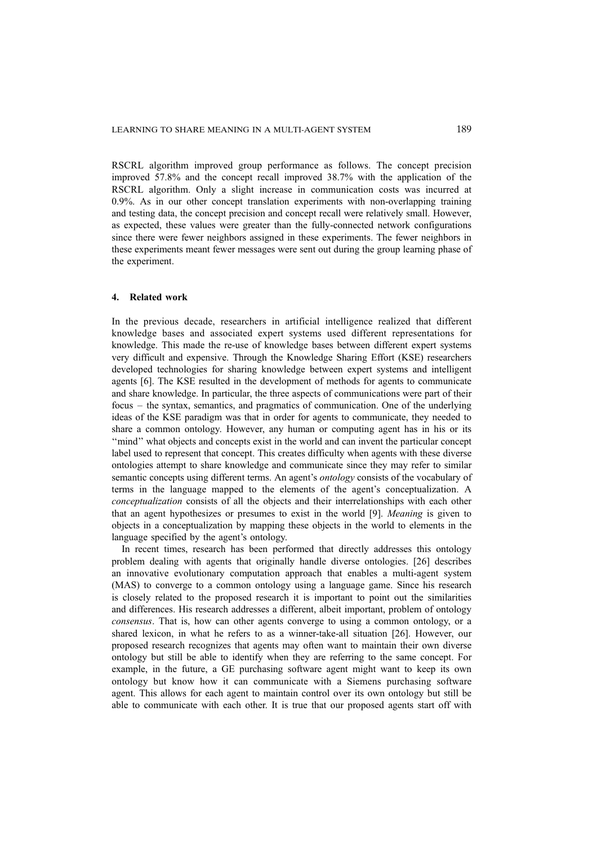RSCRL algorithm improved group performance as follows. The concept precision improved 57.8% and the concept recall improved 38.7% with the application of the RSCRL algorithm. Only a slight increase in communication costs was incurred at 0.9%. As in our other concept translation experiments with non-overlapping training and testing data, the concept precision and concept recall were relatively small. However, as expected, these values were greater than the fully-connected network configurations since there were fewer neighbors assigned in these experiments. The fewer neighbors in these experiments meant fewer messages were sent out during the group learning phase of the experiment.

#### 4. Related work

In the previous decade, researchers in artificial intelligence realized that different knowledge bases and associated expert systems used different representations for knowledge. This made the re-use of knowledge bases between different expert systems very difficult and expensive. Through the Knowledge Sharing Effort (KSE) researchers developed technologies for sharing knowledge between expert systems and intelligent agents [6]. The KSE resulted in the development of methods for agents to communicate and share knowledge. In particular, the three aspects of communications were part of their focus – the syntax, semantics, and pragmatics of communication. One of the underlying ideas of the KSE paradigm was that in order for agents to communicate, they needed to share a common ontology. However, any human or computing agent has in his or its ''mind'' what objects and concepts exist in the world and can invent the particular concept label used to represent that concept. This creates difficulty when agents with these diverse ontologies attempt to share knowledge and communicate since they may refer to similar semantic concepts using different terms. An agent's *ontology* consists of the vocabulary of terms in the language mapped to the elements of the agent's conceptualization. A conceptualization consists of all the objects and their interrelationships with each other that an agent hypothesizes or presumes to exist in the world [9]. Meaning is given to objects in a conceptualization by mapping these objects in the world to elements in the language specified by the agent's ontology.

In recent times, research has been performed that directly addresses this ontology problem dealing with agents that originally handle diverse ontologies. [26] describes an innovative evolutionary computation approach that enables a multi-agent system (MAS) to converge to a common ontology using a language game. Since his research is closely related to the proposed research it is important to point out the similarities and differences. His research addresses a different, albeit important, problem of ontology consensus. That is, how can other agents converge to using a common ontology, or a shared lexicon, in what he refers to as a winner-take-all situation [26]. However, our proposed research recognizes that agents may often want to maintain their own diverse ontology but still be able to identify when they are referring to the same concept. For example, in the future, a GE purchasing software agent might want to keep its own ontology but know how it can communicate with a Siemens purchasing software agent. This allows for each agent to maintain control over its own ontology but still be able to communicate with each other. It is true that our proposed agents start off with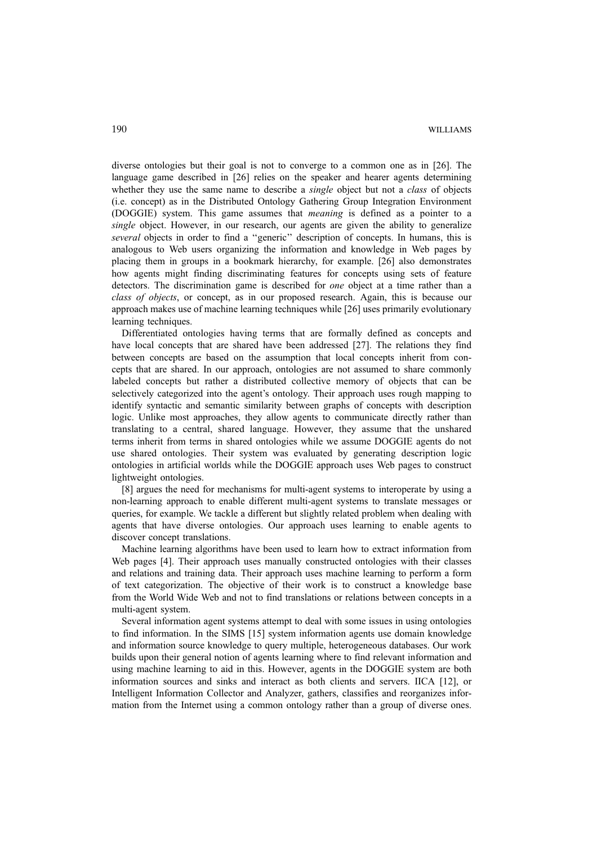diverse ontologies but their goal is not to converge to a common one as in [26]. The language game described in [26] relies on the speaker and hearer agents determining whether they use the same name to describe a *single* object but not a *class* of objects (i.e. concept) as in the Distributed Ontology Gathering Group Integration Environment (DOGGIE) system. This game assumes that meaning is defined as a pointer to a single object. However, in our research, our agents are given the ability to generalize several objects in order to find a "generic" description of concepts. In humans, this is analogous to Web users organizing the information and knowledge in Web pages by placing them in groups in a bookmark hierarchy, for example. [26] also demonstrates how agents might finding discriminating features for concepts using sets of feature detectors. The discrimination game is described for one object at a time rather than a class of objects, or concept, as in our proposed research. Again, this is because our approach makes use of machine learning techniques while [26] uses primarily evolutionary learning techniques.

Differentiated ontologies having terms that are formally defined as concepts and have local concepts that are shared have been addressed [27]. The relations they find between concepts are based on the assumption that local concepts inherit from concepts that are shared. In our approach, ontologies are not assumed to share commonly labeled concepts but rather a distributed collective memory of objects that can be selectively categorized into the agent's ontology. Their approach uses rough mapping to identify syntactic and semantic similarity between graphs of concepts with description logic. Unlike most approaches, they allow agents to communicate directly rather than translating to a central, shared language. However, they assume that the unshared terms inherit from terms in shared ontologies while we assume DOGGIE agents do not use shared ontologies. Their system was evaluated by generating description logic ontologies in artificial worlds while the DOGGIE approach uses Web pages to construct lightweight ontologies.

[8] argues the need for mechanisms for multi-agent systems to interoperate by using a non-learning approach to enable different multi-agent systems to translate messages or queries, for example. We tackle a different but slightly related problem when dealing with agents that have diverse ontologies. Our approach uses learning to enable agents to discover concept translations.

Machine learning algorithms have been used to learn how to extract information from Web pages [4]. Their approach uses manually constructed ontologies with their classes and relations and training data. Their approach uses machine learning to perform a form of text categorization. The objective of their work is to construct a knowledge base from the World Wide Web and not to find translations or relations between concepts in a multi-agent system.

Several information agent systems attempt to deal with some issues in using ontologies to find information. In the SIMS [15] system information agents use domain knowledge and information source knowledge to query multiple, heterogeneous databases. Our work builds upon their general notion of agents learning where to find relevant information and using machine learning to aid in this. However, agents in the DOGGIE system are both information sources and sinks and interact as both clients and servers. IICA [12], or Intelligent Information Collector and Analyzer, gathers, classifies and reorganizes information from the Internet using a common ontology rather than a group of diverse ones.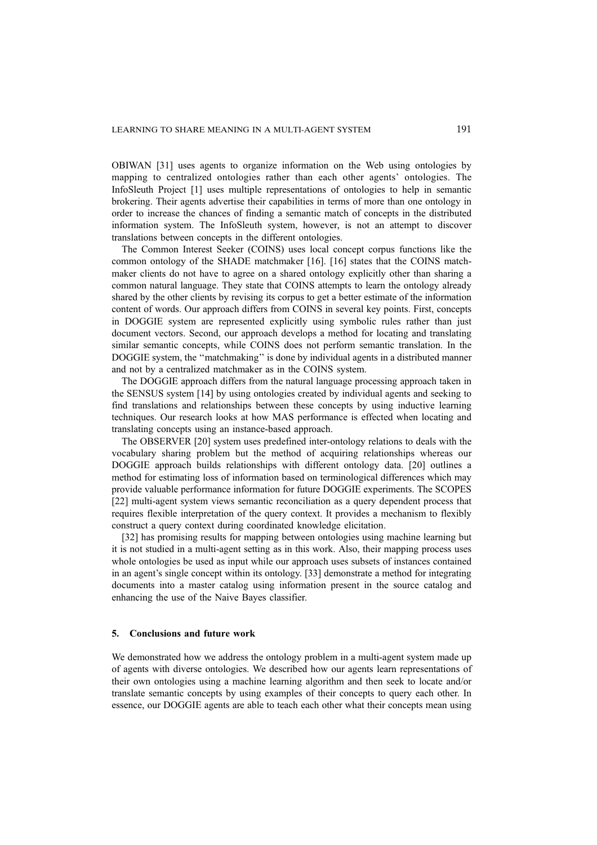OBIWAN [31] uses agents to organize information on the Web using ontologies by mapping to centralized ontologies rather than each other agents' ontologies. The InfoSleuth Project [1] uses multiple representations of ontologies to help in semantic brokering. Their agents advertise their capabilities in terms of more than one ontology in order to increase the chances of finding a semantic match of concepts in the distributed information system. The InfoSleuth system, however, is not an attempt to discover translations between concepts in the different ontologies.

The Common Interest Seeker (COINS) uses local concept corpus functions like the common ontology of the SHADE matchmaker [16]. [16] states that the COINS matchmaker clients do not have to agree on a shared ontology explicitly other than sharing a common natural language. They state that COINS attempts to learn the ontology already shared by the other clients by revising its corpus to get a better estimate of the information content of words. Our approach differs from COINS in several key points. First, concepts in DOGGIE system are represented explicitly using symbolic rules rather than just document vectors. Second, our approach develops a method for locating and translating similar semantic concepts, while COINS does not perform semantic translation. In the DOGGIE system, the ''matchmaking'' is done by individual agents in a distributed manner and not by a centralized matchmaker as in the COINS system.

The DOGGIE approach differs from the natural language processing approach taken in the SENSUS system [14] by using ontologies created by individual agents and seeking to find translations and relationships between these concepts by using inductive learning techniques. Our research looks at how MAS performance is effected when locating and translating concepts using an instance-based approach.

The OBSERVER [20] system uses predefined inter-ontology relations to deals with the vocabulary sharing problem but the method of acquiring relationships whereas our DOGGIE approach builds relationships with different ontology data. [20] outlines a method for estimating loss of information based on terminological differences which may provide valuable performance information for future DOGGIE experiments. The SCOPES [22] multi-agent system views semantic reconciliation as a query dependent process that requires flexible interpretation of the query context. It provides a mechanism to flexibly construct a query context during coordinated knowledge elicitation.

[32] has promising results for mapping between ontologies using machine learning but it is not studied in a multi-agent setting as in this work. Also, their mapping process uses whole ontologies be used as input while our approach uses subsets of instances contained in an agent's single concept within its ontology. [33] demonstrate a method for integrating documents into a master catalog using information present in the source catalog and enhancing the use of the Naive Bayes classifier.

# 5. Conclusions and future work

We demonstrated how we address the ontology problem in a multi-agent system made up of agents with diverse ontologies. We described how our agents learn representations of their own ontologies using a machine learning algorithm and then seek to locate and/or translate semantic concepts by using examples of their concepts to query each other. In essence, our DOGGIE agents are able to teach each other what their concepts mean using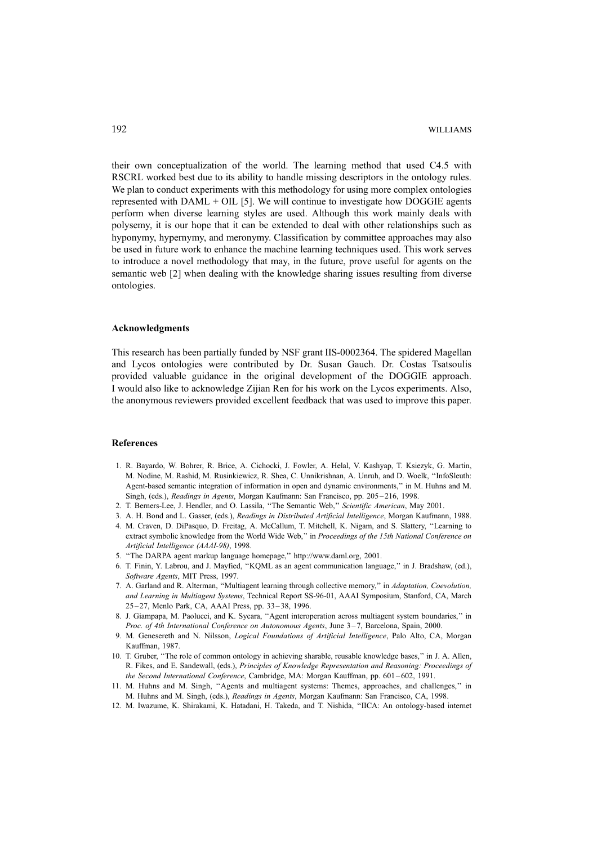their own conceptualization of the world. The learning method that used C4.5 with RSCRL worked best due to its ability to handle missing descriptors in the ontology rules. We plan to conduct experiments with this methodology for using more complex ontologies represented with  $DAML + OIL$  [5]. We will continue to investigate how DOGGIE agents perform when diverse learning styles are used. Although this work mainly deals with polysemy, it is our hope that it can be extended to deal with other relationships such as hyponymy, hypernymy, and meronymy. Classification by committee approaches may also be used in future work to enhance the machine learning techniques used. This work serves to introduce a novel methodology that may, in the future, prove useful for agents on the semantic web [2] when dealing with the knowledge sharing issues resulting from diverse ontologies.

#### Acknowledgments

This research has been partially funded by NSF grant IIS-0002364. The spidered Magellan and Lycos ontologies were contributed by Dr. Susan Gauch. Dr. Costas Tsatsoulis provided valuable guidance in the original development of the DOGGIE approach. I would also like to acknowledge Zijian Ren for his work on the Lycos experiments. Also, the anonymous reviewers provided excellent feedback that was used to improve this paper.

#### References

- 1. R. Bayardo, W. Bohrer, R. Brice, A. Cichocki, J. Fowler, A. Helal, V. Kashyap, T. Ksiezyk, G. Martin, M. Nodine, M. Rashid, M. Rusinkiewicz, R. Shea, C. Unnikrishnan, A. Unruh, and D. Woelk, ''InfoSleuth: Agent-based semantic integration of information in open and dynamic environments,'' in M. Huhns and M. Singh, (eds.), Readings in Agents, Morgan Kaufmann: San Francisco, pp. 205 – 216, 1998.
- 2. T. Berners-Lee, J. Hendler, and O. Lassila, ''The Semantic Web,'' Scientific American, May 2001.
- 3. A. H. Bond and L. Gasser, (eds.), Readings in Distributed Artificial Intelligence, Morgan Kaufmann, 1988.
- 4. M. Craven, D. DiPasquo, D. Freitag, A. McCallum, T. Mitchell, K. Nigam, and S. Slattery, ''Learning to extract symbolic knowledge from the World Wide Web," in Proceedings of the 15th National Conference on Artificial Intelligence (AAAI-98), 1998.
- 5. ''The DARPA agent markup language homepage,'' http://www.daml.org, 2001.
- 6. T. Finin, Y. Labrou, and J. Mayfied, ''KQML as an agent communication language,'' in J. Bradshaw, (ed.), Software Agents, MIT Press, 1997.
- 7. A. Garland and R. Alterman, ''Multiagent learning through collective memory,'' in Adaptation, Coevolution, and Learning in Multiagent Systems, Technical Report SS-96-01, AAAI Symposium, Stanford, CA, March 25 – 27, Menlo Park, CA, AAAI Press, pp. 33 – 38, 1996.
- 8. J. Giampapa, M. Paolucci, and K. Sycara, ''Agent interoperation across multiagent system boundaries,'' in Proc. of 4th International Conference on Autonomous Agents, June 3-7, Barcelona, Spain, 2000.
- 9. M. Genesereth and N. Nilsson, Logical Foundations of Artificial Intelligence, Palo Alto, CA, Morgan Kauffman, 1987.
- 10. T. Gruber, ''The role of common ontology in achieving sharable, reusable knowledge bases,'' in J. A. Allen, R. Fikes, and E. Sandewall, (eds.), Principles of Knowledge Representation and Reasoning: Proceedings of the Second International Conference, Cambridge, MA: Morgan Kauffman, pp. 601-602, 1991.
- 11. M. Huhns and M. Singh, ''Agents and multiagent systems: Themes, approaches, and challenges,'' in M. Huhns and M. Singh, (eds.), Readings in Agents, Morgan Kaufmann: San Francisco, CA, 1998.
- 12. M. Iwazume, K. Shirakami, K. Hatadani, H. Takeda, and T. Nishida, ''IICA: An ontology-based internet